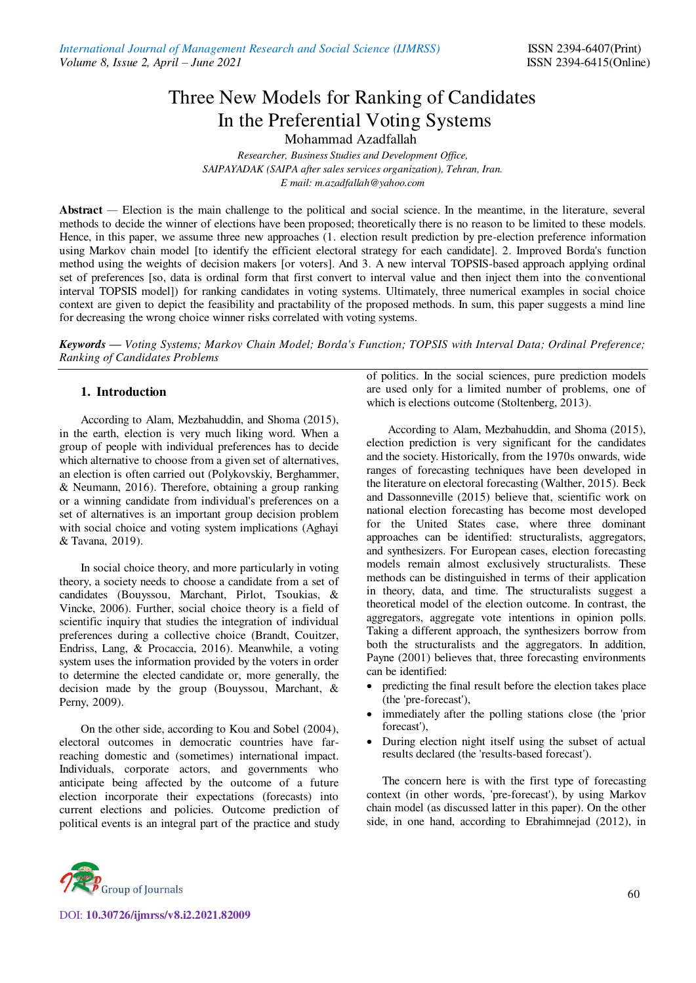# Three New Models for Ranking of Candidates In the Preferential Voting Systems

Mohammad Azadfallah

*Researcher, Business Studies and Development Office, SAIPAYADAK (SAIPA after sales services organization), Tehran, Iran. E mail[: m.azadfallah@yahoo.com](mailto:m.azadfallah@yahoo.com)*

**Abstract** *—* Election is the main challenge to the political and social science. In the meantime, in the literature, several methods to decide the winner of elections have been proposed; theoretically there is no reason to be limited to these models. Hence, in this paper, we assume three new approaches (1. election result prediction by pre-election preference information using Markov chain model [to identify the efficient electoral strategy for each candidate]. 2. Improved Borda's function method using the weights of decision makers [or voters]. And 3. A new interval TOPSIS-based approach applying ordinal set of preferences [so, data is ordinal form that first convert to interval value and then inject them into the conventional interval TOPSIS model]) for ranking candidates in voting systems. Ultimately, three numerical examples in social choice context are given to depict the feasibility and practability of the proposed methods. In sum, this paper suggests a mind line for decreasing the wrong choice winner risks correlated with voting systems.

*Keywords — Voting Systems; Markov Chain Model; Borda's Function; TOPSIS with Interval Data; Ordinal Preference; Ranking of Candidates Problems* 

# **1. Introduction**

According to Alam, Mezbahuddin, and Shoma (2015), in the earth, election is very much liking word. When a group of people with individual preferences has to decide which alternative to choose from a given set of alternatives, an election is often carried out (Polykovskiy, Berghammer, & Neumann, 2016). Therefore, obtaining a group ranking or a winning candidate from individual's preferences on a set of alternatives is an important group decision problem with social choice and voting system implications (Aghayi & Tavana, 2019).

In social choice theory, and more particularly in voting theory, a society needs to choose a candidate from a set of candidates (Bouyssou, Marchant, Pirlot, Tsoukias, & Vincke, 2006). Further, social choice theory is a field of scientific inquiry that studies the integration of individual preferences during a collective choice (Brandt, Couitzer, Endriss, Lang, & Procaccia, 2016). Meanwhile, a voting system uses the information provided by the voters in order to determine the elected candidate or, more generally, the decision made by the group (Bouyssou, Marchant, & Perny, 2009).

On the other side, according to Kou and Sobel (2004), electoral outcomes in democratic countries have farreaching domestic and (sometimes) international impact. Individuals, corporate actors, and governments who anticipate being affected by the outcome of a future election incorporate their expectations (forecasts) into current elections and policies. Outcome prediction of political events is an integral part of the practice and study

of politics. In the social sciences, pure prediction models are used only for a limited number of problems, one of which is elections outcome (Stoltenberg, 2013).

According to Alam, Mezbahuddin, and Shoma (2015), election prediction is very significant for the candidates and the society. Historically, from the 1970s onwards, wide ranges of forecasting techniques have been developed in the literature on electoral forecasting (Walther, 2015). Beck and Dassonneville (2015) believe that, scientific work on national election forecasting has become most developed for the United States case, where three dominant approaches can be identified: structuralists, aggregators, and synthesizers. For European cases, election forecasting models remain almost exclusively structuralists. These methods can be distinguished in terms of their application in theory, data, and time. The structuralists suggest a theoretical model of the election outcome. In contrast, the aggregators, aggregate vote intentions in opinion polls. Taking a different approach, the synthesizers borrow from both the structuralists and the aggregators. In addition, Payne (2001) believes that, three forecasting environments can be identified:

- predicting the final result before the election takes place (the 'pre-forecast'),
- immediately after the polling stations close (the 'prior forecast'),
- During election night itself using the subset of actual results declared (the 'results-based forecast').

The concern here is with the first type of forecasting context (in other words, 'pre-forecast'), by using Markov chain model (as discussed latter in this paper). On the other side, in one hand, according to Ebrahimnejad (2012), in

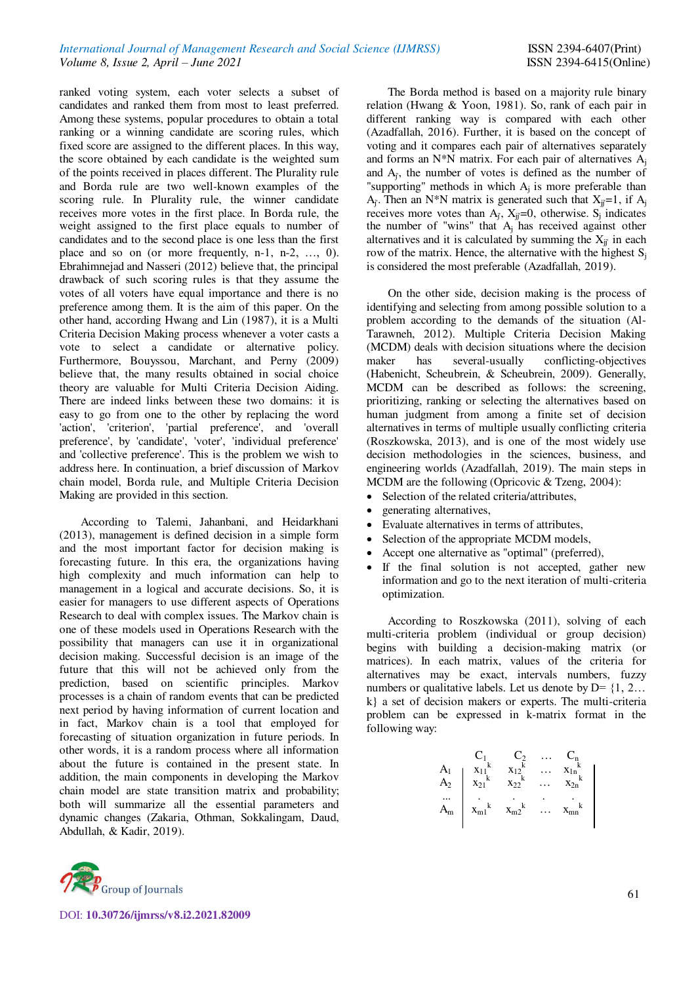ranked voting system, each voter selects a subset of candidates and ranked them from most to least preferred. Among these systems, popular procedures to obtain a total ranking or a winning candidate are scoring rules, which fixed score are assigned to the different places. In this way, the score obtained by each candidate is the weighted sum of the points received in places different. The Plurality rule and Borda rule are two well-known examples of the scoring rule. In Plurality rule, the winner candidate receives more votes in the first place. In Borda rule, the weight assigned to the first place equals to number of candidates and to the second place is one less than the first place and so on (or more frequently, n-1, n-2, …, 0). Ebrahimnejad and Nasseri (2012) believe that, the principal drawback of such scoring rules is that they assume the votes of all voters have equal importance and there is no preference among them. It is the aim of this paper. On the other hand, according Hwang and Lin (1987), it is a Multi Criteria Decision Making process whenever a voter casts a vote to select a candidate or alternative policy. Furthermore, Bouyssou, Marchant, and Perny (2009) believe that, the many results obtained in social choice theory are valuable for Multi Criteria Decision Aiding. There are indeed links between these two domains: it is easy to go from one to the other by replacing the word 'action', 'criterion', 'partial preference', and 'overall preference', by 'candidate', 'voter', 'individual preference' and 'collective preference'. This is the problem we wish to address here. In continuation, a brief discussion of Markov chain model, Borda rule, and Multiple Criteria Decision Making are provided in this section.

According to Talemi, Jahanbani, and Heidarkhani (2013), management is defined decision in a simple form and the most important factor for decision making is forecasting future. In this era, the organizations having high complexity and much information can help to management in a logical and accurate decisions. So, it is easier for managers to use different aspects of Operations Research to deal with complex issues. The Markov chain is one of these models used in Operations Research with the possibility that managers can use it in organizational decision making. Successful decision is an image of the future that this will not be achieved only from the prediction, based on scientific principles. Markov processes is a chain of random events that can be predicted next period by having information of current location and in fact, Markov chain is a tool that employed for forecasting of situation organization in future periods. In other words, it is a random process where all information about the future is contained in the present state. In addition, the main components in developing the Markov chain model are state transition matrix and probability; both will summarize all the essential parameters and dynamic changes (Zakaria, Othman, Sokkalingam, Daud, Abdullah, & Kadir, 2019).



The Borda method is based on a majority rule binary relation (Hwang & Yoon, 1981). So, rank of each pair in different ranking way is compared with each other (Azadfallah, 2016). Further, it is based on the concept of voting and it compares each pair of alternatives separately and forms an N\*N matrix. For each pair of alternatives  $A_i$ and  $A_i$ , the number of votes is defined as the number of "supporting" methods in which  $A_j$  is more preferable than  $A_i$ . Then an N\*N matrix is generated such that  $X_{ii}=1$ , if  $A_i$ receives more votes than  $A_j$ ,  $X_{ij}=0$ , otherwise.  $S_j$  indicates the number of "wins" that  $A_j$  has received against other alternatives and it is calculated by summing the  $X_{ij}$  in each row of the matrix. Hence, the alternative with the highest  $S_i$ is considered the most preferable (Azadfallah, 2019).

On the other side, decision making is the process of identifying and selecting from among possible solution to a problem according to the demands of the situation (Al-Tarawneh, 2012). Multiple Criteria Decision Making (MCDM) deals with decision situations where the decision maker has several-usually conflicting-objectives (Habenicht, Scheubrein, & Scheubrein, 2009). Generally, MCDM can be described as follows: the screening, prioritizing, ranking or selecting the alternatives based on human judgment from among a finite set of decision alternatives in terms of multiple usually conflicting criteria (Roszkowska, 2013), and is one of the most widely use decision methodologies in the sciences, business, and engineering worlds (Azadfallah, 2019). The main steps in MCDM are the following (Opricovic & Tzeng, 2004):

- Selection of the related criteria/attributes,
- generating alternatives,
- Evaluate alternatives in terms of attributes,
- Selection of the appropriate MCDM models,
- Accept one alternative as "optimal" (preferred),
- If the final solution is not accepted, gather new information and go to the next iteration of multi-criteria optimization.

According to Roszkowska (2011), solving of each multi-criteria problem (individual or group decision) begins with building a decision-making matrix (or matrices). In each matrix, values of the criteria for alternatives may be exact, intervals numbers, fuzzy numbers or qualitative labels. Let us denote by  $D = \{1, 2, \ldots\}$ k} a set of decision makers or experts. The multi-criteria problem can be expressed in k-matrix format in the following way:

$$
\begin{array}{ccccccccc} & & C_1 & & C_2 & & \ldots & C_n \\ A_1 & & x_{11}^k & & x_{12}^k & & \ldots & x_{1n}^k \\ A_2 & & x_{21}^k & & x_{22}^k & & \ldots & x_{2n}^k \\ & \ldots & & & \ldots & & & \ldots & \\ A_m & & x_{m1}^k & & x_{m2}^k & & \ldots & x_{mn}^k \end{array}
$$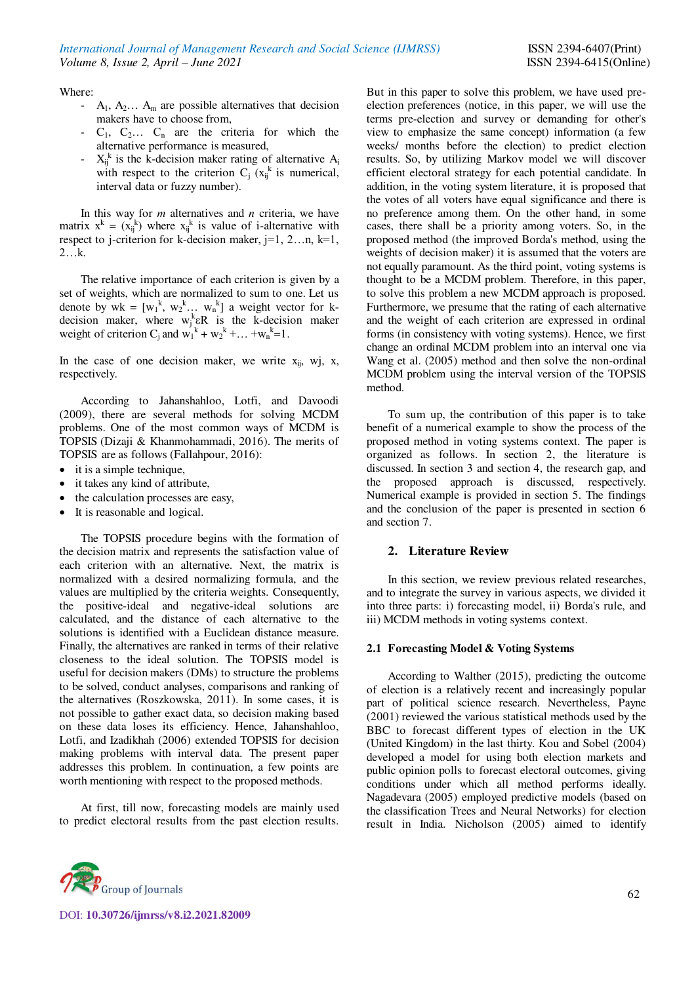Where:

- $A_1$ ,  $A_2$ ...  $A_m$  are possible alternatives that decision makers have to choose from,
- $C_1$ ,  $C_2$ ...  $C_n$  are the criteria for which the alternative performance is measured,
- $X_{ij}^k$  is the k-decision maker rating of alternative  $A_i$ with respect to the criterion  $C_j(x_{ij}^k)$  is numerical, interval data or fuzzy number).

In this way for *m* alternatives and *n* criteria, we have matrix  $x^k = (x_{ij}^k)$  where  $x_{ij}^k$  is value of i-alternative with respect to j-criterion for k-decision maker,  $j=1, 2...n, k=1$ , 2…k.

The relative importance of each criterion is given by a set of weights, which are normalized to sum to one. Let us denote by  $wk = [w_1^k, w_2^k, \dots, w_n^k]$  a weight vector for kdecision maker, where  $w_j^k \in R$  is the k-decision maker weight of criterion  $C_j$  and  $w_1^k + w_2^k + ... + w_n^k = 1$ .

In the case of one decision maker, we write  $x_{ij}$ , wj, x, respectively.

According to Jahanshahloo, Lotfi, and Davoodi (2009), there are several methods for solving MCDM problems. One of the most common ways of MCDM is TOPSIS (Dizaji & Khanmohammadi, 2016). The merits of TOPSIS are as follows (Fallahpour, 2016):

- it is a simple technique,
- it takes any kind of attribute,
- the calculation processes are easy,
- It is reasonable and logical.

The TOPSIS procedure begins with the formation of the decision matrix and represents the satisfaction value of each criterion with an alternative. Next, the matrix is normalized with a desired normalizing formula, and the values are multiplied by the criteria weights. Consequently, the positive-ideal and negative-ideal solutions are calculated, and the distance of each alternative to the solutions is identified with a Euclidean distance measure. Finally, the alternatives are ranked in terms of their relative closeness to the ideal solution. The TOPSIS model is useful for decision makers (DMs) to structure the problems to be solved, conduct analyses, comparisons and ranking of the alternatives (Roszkowska, 2011). In some cases, it is not possible to gather exact data, so decision making based on these data loses its efficiency. Hence, Jahanshahloo, Lotfi, and Izadikhah (2006) extended TOPSIS for decision making problems with interval data. The present paper addresses this problem. In continuation, a few points are worth mentioning with respect to the proposed methods.

At first, till now, forecasting models are mainly used to predict electoral results from the past election results.



To sum up, the contribution of this paper is to take benefit of a numerical example to show the process of the proposed method in voting systems context. The paper is organized as follows. In section 2, the literature is discussed. In section 3 and section 4, the research gap, and the proposed approach is discussed, respectively. Numerical example is provided in section 5. The findings and the conclusion of the paper is presented in section 6 and section 7.

#### **2. Literature Review**

In this section, we review previous related researches, and to integrate the survey in various aspects, we divided it into three parts: i) forecasting model, ii) Borda's rule, and iii) MCDM methods in voting systems context.

#### **2.1 Forecasting Model & Voting Systems**

According to Walther (2015), predicting the outcome of election is a relatively recent and increasingly popular part of political science research. Nevertheless, Payne (2001) reviewed the various statistical methods used by the BBC to forecast different types of election in the UK (United Kingdom) in the last thirty. Kou and Sobel (2004) developed a model for using both election markets and public opinion polls to forecast electoral outcomes, giving conditions under which all method performs ideally. Nagadevara (2005) employed predictive models (based on the classification Trees and Neural Networks) for election result in India. Nicholson (2005) aimed to identify

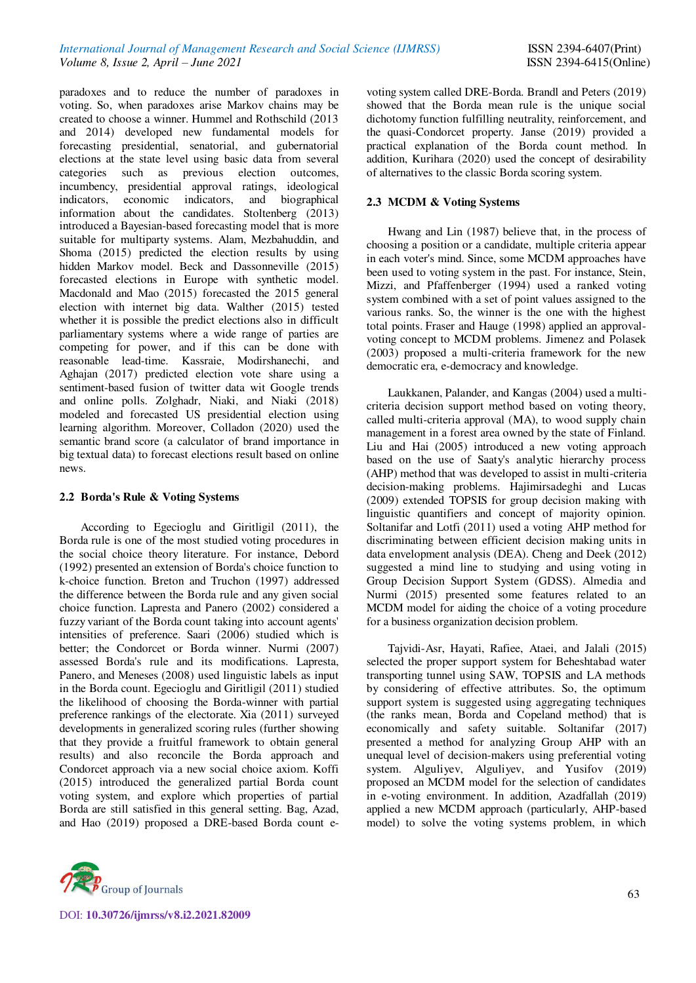paradoxes and to reduce the number of paradoxes in voting. So, when paradoxes arise Markov chains may be created to choose a winner. Hummel and Rothschild (2013 and 2014) developed new fundamental models for forecasting presidential, senatorial, and gubernatorial elections at the state level using basic data from several categories such as previous election outcomes, incumbency, presidential approval ratings, ideological indicators, economic indicators, and biographical information about the candidates. Stoltenberg (2013) introduced a Bayesian-based forecasting model that is more suitable for multiparty systems. Alam, Mezbahuddin, and Shoma (2015) predicted the election results by using hidden Markov model. Beck and Dassonneville (2015) forecasted elections in Europe with synthetic model. Macdonald and Mao (2015) forecasted the 2015 general election with internet big data. Walther (2015) tested whether it is possible the predict elections also in difficult parliamentary systems where a wide range of parties are competing for power, and if this can be done with reasonable lead-time. Kassraie, Modirshanechi, and Aghajan (2017) predicted election vote share using a sentiment-based fusion of twitter data wit Google trends and online polls. Zolghadr, Niaki, and Niaki (2018) modeled and forecasted US presidential election using learning algorithm. Moreover, Colladon (2020) used the semantic brand score (a calculator of brand importance in big textual data) to forecast elections result based on online news.

## **2.2 Borda's Rule & Voting Systems**

According to Egecioglu and Giritligil (2011), the Borda rule is one of the most studied voting procedures in the social choice theory literature. For instance, Debord (1992) presented an extension of Borda's choice function to k-choice function. Breton and Truchon (1997) addressed the difference between the Borda rule and any given social choice function. Lapresta and Panero (2002) considered a fuzzy variant of the Borda count taking into account agents' intensities of preference. Saari (2006) studied which is better; the Condorcet or Borda winner. Nurmi (2007) assessed Borda's rule and its modifications. Lapresta, Panero, and Meneses (2008) used linguistic labels as input in the Borda count. Egecioglu and Giritligil (2011) studied the likelihood of choosing the Borda-winner with partial preference rankings of the electorate. Xia (2011) surveyed developments in generalized scoring rules (further showing that they provide a fruitful framework to obtain general results) and also reconcile the Borda approach and Condorcet approach via a new social choice axiom. Koffi (2015) introduced the generalized partial Borda count voting system, and explore which properties of partial Borda are still satisfied in this general setting. Bag, Azad, and Hao (2019) proposed a DRE-based Borda count evoting system called DRE-Borda. Brandl and Peters (2019) showed that the Borda mean rule is the unique social dichotomy function fulfilling neutrality, reinforcement, and the quasi-Condorcet property. Janse (2019) provided a practical explanation of the Borda count method. In addition, Kurihara (2020) used the concept of desirability of alternatives to the classic Borda scoring system.

# **2.3 MCDM & Voting Systems**

Hwang and Lin (1987) believe that, in the process of choosing a position or a candidate, multiple criteria appear in each voter's mind. Since, some MCDM approaches have been used to voting system in the past. For instance, Stein, Mizzi, and Pfaffenberger (1994) used a ranked voting system combined with a set of point values assigned to the various ranks. So, the winner is the one with the highest total points. Fraser and Hauge (1998) applied an approvalvoting concept to MCDM problems. Jimenez and Polasek (2003) proposed a multi-criteria framework for the new democratic era, e-democracy and knowledge.

Laukkanen, Palander, and Kangas (2004) used a multicriteria decision support method based on voting theory, called multi-criteria approval (MA), to wood supply chain management in a forest area owned by the state of Finland. Liu and Hai (2005) introduced a new voting approach based on the use of Saaty's analytic hierarchy process (AHP) method that was developed to assist in multi-criteria decision-making problems. Hajimirsadeghi and Lucas (2009) extended TOPSIS for group decision making with linguistic quantifiers and concept of majority opinion. Soltanifar and Lotfi (2011) used a voting AHP method for discriminating between efficient decision making units in data envelopment analysis (DEA). Cheng and Deek (2012) suggested a mind line to studying and using voting in Group Decision Support System (GDSS). Almedia and Nurmi (2015) presented some features related to an MCDM model for aiding the choice of a voting procedure for a business organization decision problem.

Tajvidi-Asr, Hayati, Rafiee, Ataei, and Jalali (2015) selected the proper support system for Beheshtabad water transporting tunnel using SAW, TOPSIS and LA methods by considering of effective attributes. So, the optimum support system is suggested using aggregating techniques (the ranks mean, Borda and Copeland method) that is economically and safety suitable. Soltanifar (2017) presented a method for analyzing Group AHP with an unequal level of decision-makers using preferential voting system. Alguliyev, Alguliyev, and Yusifov (2019) proposed an MCDM model for the selection of candidates in e-voting environment. In addition, Azadfallah (2019) applied a new MCDM approach (particularly, AHP-based model) to solve the voting systems problem, in which

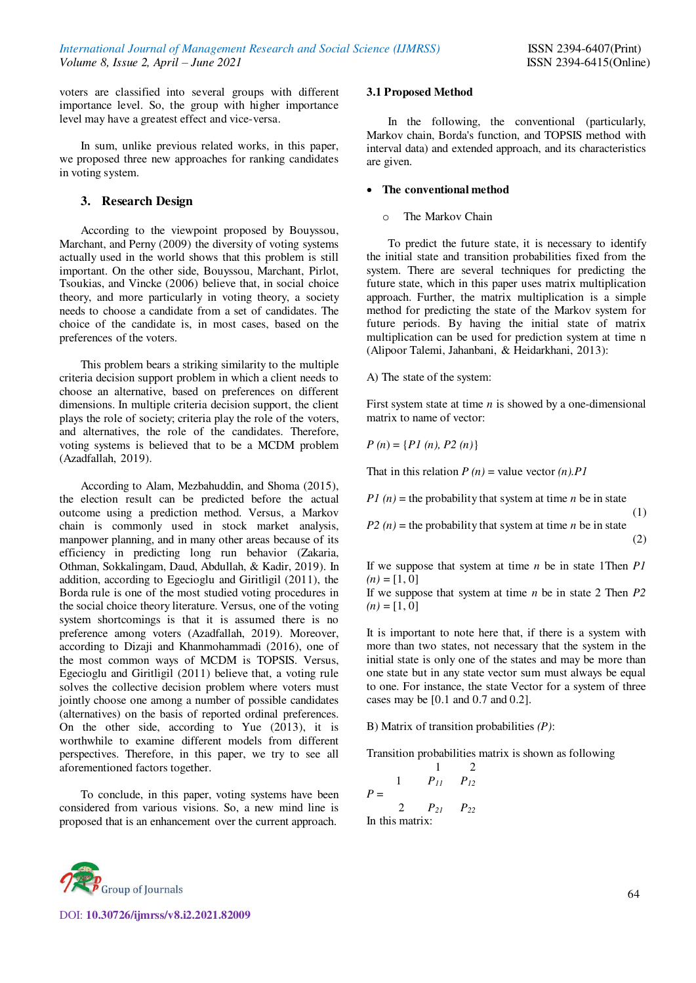voters are classified into several groups with different importance level. So, the group with higher importance level may have a greatest effect and vice-versa.

In sum, unlike previous related works, in this paper, we proposed three new approaches for ranking candidates in voting system.

## **3. Research Design**

According to the viewpoint proposed by Bouyssou, Marchant, and Perny (2009) the diversity of voting systems actually used in the world shows that this problem is still important. On the other side, Bouyssou, Marchant, Pirlot, Tsoukias, and Vincke (2006) believe that, in social choice theory, and more particularly in voting theory, a society needs to choose a candidate from a set of candidates. The choice of the candidate is, in most cases, based on the preferences of the voters.

This problem bears a striking similarity to the multiple criteria decision support problem in which a client needs to choose an alternative, based on preferences on different dimensions. In multiple criteria decision support, the client plays the role of society; criteria play the role of the voters, and alternatives, the role of the candidates. Therefore, voting systems is believed that to be a MCDM problem (Azadfallah, 2019).

According to Alam, Mezbahuddin, and Shoma (2015), the election result can be predicted before the actual outcome using a prediction method. Versus, a Markov chain is commonly used in stock market analysis, manpower planning, and in many other areas because of its efficiency in predicting long run behavior (Zakaria, Othman, Sokkalingam, Daud, Abdullah, & Kadir, 2019). In addition, according to Egecioglu and Giritligil (2011), the Borda rule is one of the most studied voting procedures in the social choice theory literature. Versus, one of the voting system shortcomings is that it is assumed there is no preference among voters (Azadfallah, 2019). Moreover, according to Dizaji and Khanmohammadi (2016), one of the most common ways of MCDM is TOPSIS. Versus, Egecioglu and Giritligil (2011) believe that, a voting rule solves the collective decision problem where voters must jointly choose one among a number of possible candidates (alternatives) on the basis of reported ordinal preferences. On the other side, according to Yue (2013), it is worthwhile to examine different models from different perspectives. Therefore, in this paper, we try to see all aforementioned factors together.

To conclude, in this paper, voting systems have been considered from various visions. So, a new mind line is proposed that is an enhancement over the current approach.

## **3.1 Proposed Method**

In the following, the conventional (particularly, Markov chain, Borda's function, and TOPSIS method with interval data) and extended approach, and its characteristics are given.

## **The conventional method**

o The Markov Chain

To predict the future state, it is necessary to identify the initial state and transition probabilities fixed from the system. There are several techniques for predicting the future state, which in this paper uses matrix multiplication approach. Further, the matrix multiplication is a simple method for predicting the state of the Markov system for future periods. By having the initial state of matrix multiplication can be used for prediction system at time n (Alipoor Talemi, Jahanbani, & Heidarkhani, 2013):

## A) The state of the system:

First system state at time *n* is showed by a one-dimensional matrix to name of vector:

$$
P(n) = \{ P1(n), P2(n) \}
$$

That in this relation  $P(n)$  = value vector  $(n)$ . *P1* 

*P1*  $(n)$  = the probability that system at time *n* be in state (1)

*P2*  $(n)$  = the probability that system at time *n* be in state (2)

If we suppose that system at time *n* be in state 1Then *P1*   $(n) = [1, 0]$ 

If we suppose that system at time *n* be in state 2 Then *P2*   $(n) = [1, 0]$ 

It is important to note here that, if there is a system with more than two states, not necessary that the system in the initial state is only one of the states and may be more than one state but in any state vector sum must always be equal to one. For instance, the state Vector for a system of three cases may be [0.1 and 0.7 and 0.2].

B) Matrix of transition probabilities *(P)*:

Transition probabilities matrix is shown as following

$$
P = \begin{pmatrix} 1 & 2 \\ 1 & P_{11} & P_{12} \\ 2 & P_{21} & P_{22} \\ \text{In this matrix:} \end{pmatrix}
$$

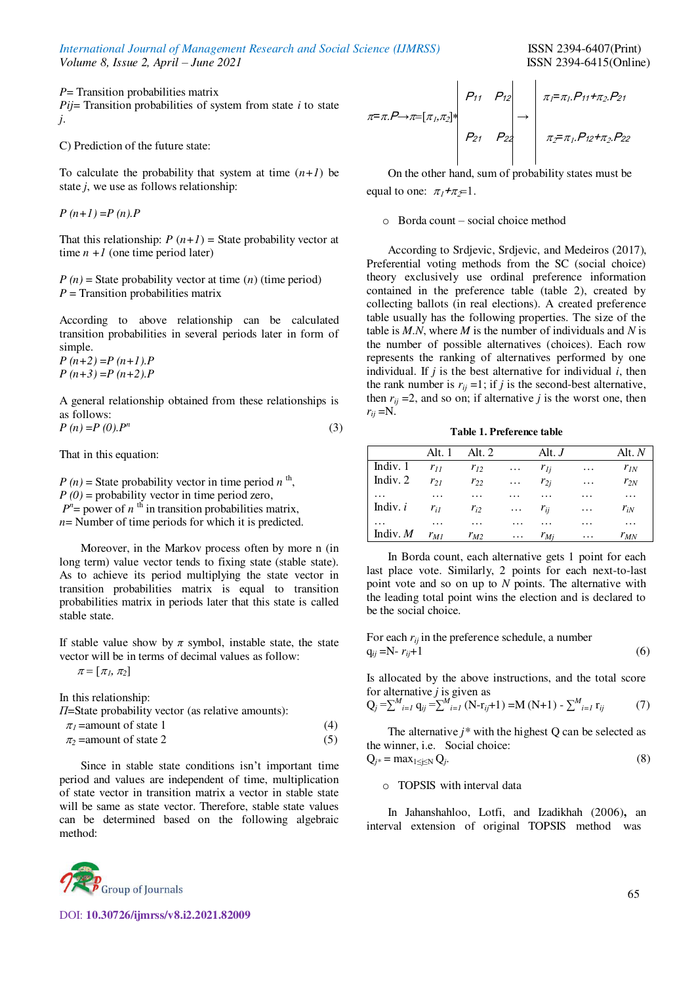*International Journal of Management Research and Social Science (IJMRSS)* **ISSN 2394-6407(Print)** *Volume 8. Issue 2. April – June 2021 ISSN 2394-6415(Online) Volume 8, Issue 2, April – June 2021* 

*P*= Transition probabilities matrix *Pij*= Transition probabilities of system from state *i* to state *j*.

C) Prediction of the future state:

To calculate the probability that system at time  $(n+1)$  be state *j*, we use as follows relationship:

*P (n+1)* =*P (n).P*

That this relationship:  $P(n+1)$  = State probability vector at time  $n + 1$  (one time period later)

 $P(n)$  = State probability vector at time  $(n)$  (time period) *P* = Transition probabilities matrix

According to above relationship can be calculated transition probabilities in several periods later in form of simple.

*P (n+2)* =*P (n+1).P P (n+3)* =*P (n+2).P*

A general relationship obtained from these relationships is as follows:  $P(n) = P(0)$ . $P^n$  $(3)$ 

That in this equation:

 $P(n)$  = State probability vector in time period  $n^{th}$ ,  $P(0)$  = probability vector in time period zero,  $P^n$  = power of *n*<sup>th</sup> in transition probabilities matrix, *n*= Number of time periods for which it is predicted.

Moreover, in the Markov process often by more n (in long term) value vector tends to fixing state (stable state). As to achieve its period multiplying the state vector in transition probabilities matrix is equal to transition probabilities matrix in periods later that this state is called stable state.

If stable value show by  $\pi$  symbol, instable state, the state vector will be in terms of decimal values as follow:

 $\pi = [\pi_1, \pi_2]$ 

In this relationship:

*Π*=State probability vector (as relative amounts):

 $\pi_1$ =amount of state 1 (4)  $\pi_2$  =amount of state 2 (5)

Since in stable state conditions isn't important time period and values are independent of time, multiplication of state vector in transition matrix a vector in stable state will be same as state vector. Therefore, stable state values can be determined based on the following algebraic method:

$$
\pi = \pi.P \rightarrow \pi = [\pi_1, \pi_2]^{*}
$$
\n
$$
P_{21} \quad P_{22}
$$
\n
$$
P_{23} \quad P_{24} \quad P_{25}
$$
\n
$$
\pi_1 = \pi_1.P_{11} + \pi_2.P_{21}
$$
\n
$$
\pi_2 = \pi_1.P_{12} + \pi_2.P_{22}
$$

On the other hand, sum of probability states must be equal to one:  $\pi_1 + \pi_2 = 1$ .

o Borda count – social choice method

According to Srdjevic, Srdjevic, and Medeiros (2017), Preferential voting methods from the SC (social choice) theory exclusively use ordinal preference information contained in the preference table (table 2), created by collecting ballots (in real elections). A created preference table usually has the following properties. The size of the table is *M.N*, where *M* is the number of individuals and *N* is the number of possible alternatives (choices). Each row represents the ranking of alternatives performed by one individual. If  $j$  is the best alternative for individual  $i$ , then the rank number is  $r_{ii} = 1$ ; if *j* is the second-best alternative, then  $r_{ij}$  =2, and so on; if alternative *j* is the worst one, then  $r_{ii} = N$ .

**Table 1. Preference table** 

|                     |          | Alt. 1 Alt. 2 |                                            | Alt. $J$          |                   | Alt. $N$ |
|---------------------|----------|---------------|--------------------------------------------|-------------------|-------------------|----------|
| Indiv. 1 $r_{II}$   |          | $r_{12}$      | $\cdots$                                   | $r_{li}$          | $\cdots$          | $r_{IN}$ |
| Indiv. 2 $r_{21}$   |          | $r_{22}$      | $\mathbf{1}$ , $\mathbf{1}$ , $\mathbf{1}$ | $r_{2i}$          | $\cdots$          | $r_{2N}$ |
| $\dots$             | $\cdots$ | $\cdots$      | $\cdots$                                   | .                 | $\cdots$          | $\cdots$ |
| Indiv. $i$ $r_{il}$ |          | $r_{i2}$      |                                            | $\ldots$ $r_{ii}$ | $\cdots$          | $r_{iN}$ |
| $\cdots$            | $\cdots$ | $\cdots$      | $\cdots$                                   | .                 | .                 | $\cdots$ |
| Indiv. $M$ $r_{M1}$ |          | $r_{M2}$      |                                            | $\ldots$ $r_{Mi}$ | <b>Contractor</b> | $r_{MN}$ |

In Borda count, each alternative gets 1 point for each last place vote. Similarly, 2 points for each next-to-last point vote and so on up to *N* points. The alternative with the leading total point wins the election and is declared to be the social choice.

For each 
$$
r_{ij}
$$
 in the preference schedule, a number  
\n $q_{ij} = N - r_{ij} + 1$  (6)

Is allocated by the above instructions, and the total score for alternative *j* is given as

$$
Q_j = \sum_{i=1}^{M} q_{ij} = \sum_{i=1}^{M} (N - r_{ij} + 1) = M (N + 1) - \sum_{i=1}^{M} r_{ij}
$$
 (7)

The alternative  $j^*$  with the highest  $Q$  can be selected as the winner, i.e. Social choice:

$$
Q_{j^*} = \max_{1 \le j \le N} Q_j. \tag{8}
$$

o TOPSIS with interval data

In Jahanshahloo, Lotfi, and Izadikhah (2006)**,** an interval extension of original TOPSIS method was

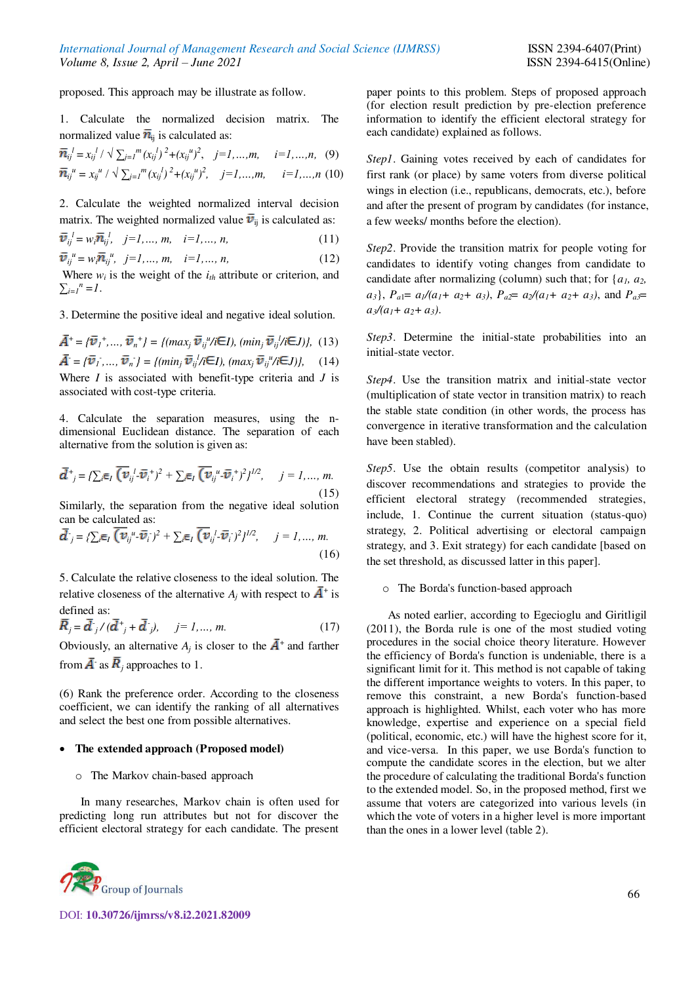proposed. This approach may be illustrate as follow.

1. Calculate the normalized decision matrix. The normalized value  $\bar{n}_{ii}$  is calculated as:

$$
\overline{n}_{ij}^{l} = x_{ij}^{l} / \sqrt{\sum_{j=1}^{m} (x_{ij}^{l})^{2} + (x_{ij}^{u})^{2}}, \quad j = l, ..., m, \quad i = l, ..., n, \quad (9)
$$
  

$$
\overline{n}_{ij}^{u} = x_{ij}^{u} / \sqrt{\sum_{j=1}^{m} (x_{ij}^{l})^{2} + (x_{ij}^{u})^{2}}, \quad j = l, ..., m, \quad i = l, ..., n \quad (10)
$$

2. Calculate the weighted normalized interval decision matrix. The weighted normalized value  $\bar{v}_{ij}$  is calculated as:

$$
\bar{\bm{v}}_{ij}^{l} = w_i \bar{\bm{n}}_{ij}^{l}, \quad j = 1, ..., m, \quad i = 1, ..., n,
$$
 (11)

 $i_j^u = w_i \overline{n}_i^u$ ,  $j = 1, ..., m, i = 1, ..., n,$  (12)

Where  $w_i$  is the weight of the  $i_{th}$  attribute or criterion, and  $\sum_{i=1}^{n} I^{n} = I$ .

3. Determine the positive ideal and negative ideal solution.

 $\vec{v}$  + =  $\{\vec{v}_1^+, ..., \vec{v}_n^*\}$  =  $\{(max_j \vec{v}_{ij}^u/i\epsilon_j), (min_j \vec{v}_{ij}^u/i\epsilon_j)\},$  (13)  $\vec{v} = {\vec{v}_1, ..., \vec{v}_n} = \{ (min_j \vec{v}_j / i \in I), (max_j \vec{v}_j / i \in J) \},$  (14) Where *I* is associated with benefit-type criteria and *J* is associated with cost-type criteria.

4. Calculate the separation measures, using the ndimensional Euclidean distance. The separation of each alternative from the solution is given as:

$$
\overline{\mathbf{d}}^+_{j} = \{ \sum_{i} \overline{\mathbf{e}}_I \overline{\left(\mathbf{v}_{ij}^{\ \ l} \cdot \overline{\mathbf{v}}_i + \right)^2} + \sum_{i} \overline{\mathbf{e}}_I \overline{\left(\mathbf{v}_{ij}^{\ \ u} \cdot \overline{\mathbf{v}}_i + \right)^2} \}^{1/2}, \quad j = 1, ..., m. \tag{15}
$$

Similarly, the separation from the negative ideal solution can be calculated as:

$$
\bar{\mathbf{d}}^{\cdot} = \{ \sum_{i} \mathbf{\bar{e}}_{I} \left( \bar{\mathbf{v}}_{ij}^{\ \mu} \cdot \bar{\bar{\mathbf{v}}}_{i} \right)^{2} + \sum_{i} \mathbf{\bar{e}}_{I} \left( \bar{\mathbf{v}}_{ij}^{\ l} \cdot \bar{\bar{\mathbf{v}}}_{i} \right)^{2} \}^{1/2}, \quad j = 1, \dots, m. \tag{16}
$$

5. Calculate the relative closeness to the ideal solution. The relative closeness of the alternative  $A_j$  with respect to  $\overline{A}^+$  is defined as:

$$
\vec{R}_j = \vec{d}_{j} / (\vec{d}_{j} + \vec{d}_{j}), \quad j = 1, ..., m.
$$
 (17)

Obviously, an alternative  $A_j$  is closer to the  $\overline{A}^+$  and farther from  $\overline{A}$ <sup>t</sup> as  $\overline{R}$ <sub>j</sub> approaches to 1.

(6) Rank the preference order. According to the closeness coefficient, we can identify the ranking of all alternatives and select the best one from possible alternatives.

#### **The extended approach (Proposed model)**

o The Markov chain-based approach

In many researches, Markov chain is often used for predicting long run attributes but not for discover the efficient electoral strategy for each candidate. The present



DOI: **10.30726/ijmrss/v8.i2.2021.82009**

paper points to this problem. Steps of proposed approach (for election result prediction by pre-election preference information to identify the efficient electoral strategy for each candidate) explained as follows.

*Step1*. Gaining votes received by each of candidates for first rank (or place) by same voters from diverse political wings in election (i.e., republicans, democrats, etc.), before and after the present of program by candidates (for instance, a few weeks/ months before the election).

*Step2*. Provide the transition matrix for people voting for candidates to identify voting changes from candidate to candidate after normalizing (column) such that; for {*a1, a2,*   $a_3$ ,  $P_{a1} = a_1/(a_1 + a_2 + a_3)$ ,  $P_{a2} = a_2/(a_1 + a_2 + a_3)$ , and  $P_{a3} = a_1/(a_1 + a_2 + a_3)$  $a_3/(a_1+a_2+a_3)$ .

*Step3*. Determine the initial-state probabilities into an initial-state vector.

*Step4*. Use the transition matrix and initial-state vector (multiplication of state vector in transition matrix) to reach the stable state condition (in other words, the process has convergence in iterative transformation and the calculation have been stabled).

*Step5*. Use the obtain results (competitor analysis) to discover recommendations and strategies to provide the efficient electoral strategy (recommended strategies, include, 1. Continue the current situation (status-quo) strategy, 2. Political advertising or electoral campaign strategy, and 3. Exit strategy) for each candidate [based on the set threshold, as discussed latter in this paper].

#### o The Borda's function-based approach

As noted earlier, according to Egecioglu and Giritligil (2011), the Borda rule is one of the most studied voting procedures in the social choice theory literature. However the efficiency of Borda's function is undeniable, there is a significant limit for it. This method is not capable of taking the different importance weights to voters. In this paper, to remove this constraint, a new Borda's function-based approach is highlighted. Whilst, each voter who has more knowledge, expertise and experience on a special field (political, economic, etc.) will have the highest score for it, and vice-versa. In this paper, we use Borda's function to compute the candidate scores in the election, but we alter the procedure of calculating the traditional Borda's function to the extended model. So, in the proposed method, first we assume that voters are categorized into various levels (in which the vote of voters in a higher level is more important than the ones in a lower level (table 2).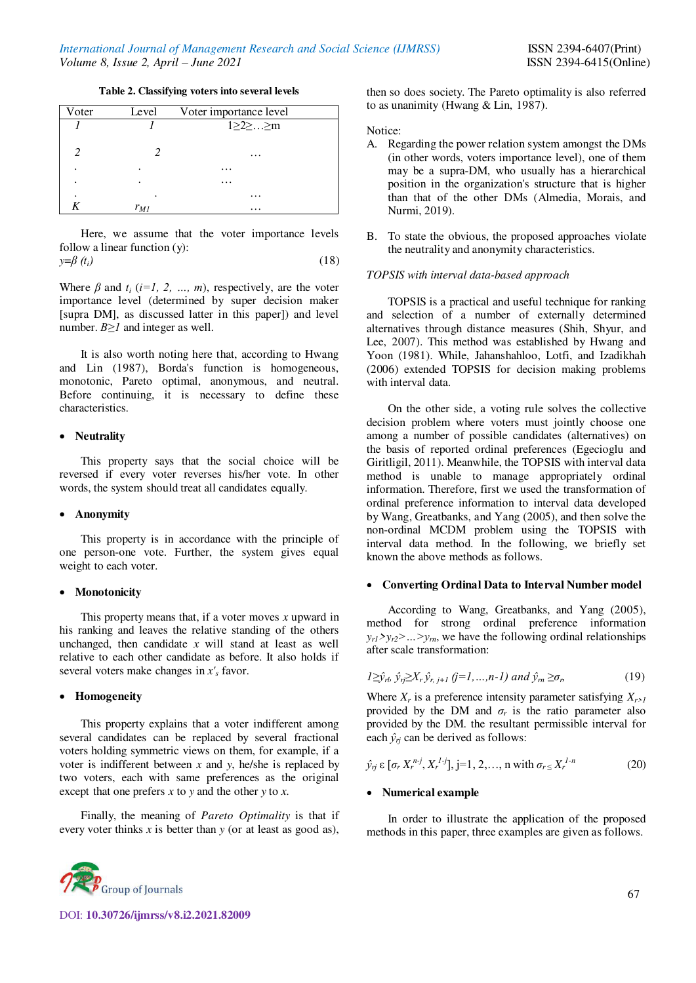## **Table 2. Classifying voters into several levels**

| Voter | Level    | Voter importance level  |
|-------|----------|-------------------------|
|       |          | $1 \geq 2 \geq  \geq m$ |
| 2     |          | $\cdots$                |
|       |          | $\cdots$                |
| ٠     | ٠        | .                       |
|       |          | $\cdots$                |
|       | $r_{MI}$ | $\cdots$                |

Here, we assume that the voter importance levels follow a linear function (y):  $y = \beta(t_i)$  (18)

Where  $\beta$  and  $t_i$  ( $i=1, 2, ..., m$ ), respectively, are the voter importance level (determined by super decision maker [supra DM], as discussed latter in this paper]) and level number. *Β≥1* and integer as well.

It is also worth noting here that, according to Hwang and Lin (1987), Borda's function is homogeneous, monotonic, Pareto optimal, anonymous, and neutral. Before continuing, it is necessary to define these characteristics.

#### **Neutrality**

This property says that the social choice will be reversed if every voter reverses his/her vote. In other words, the system should treat all candidates equally.

#### **Anonymity**

This property is in accordance with the principle of one person-one vote. Further, the system gives equal weight to each voter.

#### **Monotonicity**

This property means that, if a voter moves *x* upward in his ranking and leaves the relative standing of the others unchanged, then candidate *x* will stand at least as well relative to each other candidate as before. It also holds if several voters make changes in *x'<sup>s</sup>* favor.

#### **Homogeneity**

This property explains that a voter indifferent among several candidates can be replaced by several fractional voters holding symmetric views on them, for example, if a voter is indifferent between *x* and *y*, he/she is replaced by two voters, each with same preferences as the original except that one prefers *x* to *y* and the other *y* to *x*.

Finally, the meaning of *Pareto Optimality* is that if every voter thinks *x* is better than *y* (or at least as good as), then so does society. The Pareto optimality is also referred to as unanimity (Hwang & Lin, 1987).

Notice:

- A. Regarding the power relation system amongst the DMs (in other words, voters importance level), one of them may be a supra-DM, who usually has a hierarchical position in the organization's structure that is higher than that of the other DMs (Almedia, Morais, and Nurmi, 2019).
- B. To state the obvious, the proposed approaches violate the neutrality and anonymity characteristics.

#### *TOPSIS with interval data-based approach*

TOPSIS is a practical and useful technique for ranking and selection of a number of externally determined alternatives through distance measures (Shih, Shyur, and Lee, 2007). This method was established by Hwang and Yoon (1981). While, Jahanshahloo, Lotfi, and Izadikhah (2006) extended TOPSIS for decision making problems with interval data.

On the other side, a voting rule solves the collective decision problem where voters must jointly choose one among a number of possible candidates (alternatives) on the basis of reported ordinal preferences (Egecioglu and Giritligil, 2011). Meanwhile, the TOPSIS with interval data method is unable to manage appropriately ordinal information. Therefore, first we used the transformation of ordinal preference information to interval data developed by Wang, Greatbanks, and Yang (2005), and then solve the non-ordinal MCDM problem using the TOPSIS with interval data method. In the following, we briefly set known the above methods as follows.

#### **Converting Ordinal Data to Interval Number model**

According to Wang, Greatbanks, and Yang (2005), method for strong ordinal preference information  $y_{r1}$  $y_{r2}$  $>$  ...  $y_{m}$ , we have the following ordinal relationships after scale transformation:

$$
I \geq \hat{y}_{rl}, \ \hat{y}_{rj} \geq X_r \hat{y}_{r, j+1} \ (j=1,...,n-1) \ and \ \hat{y}_m \geq \sigma_r
$$
 (19)

Where  $X_r$  is a preference intensity parameter satisfying  $X_{r>l}$ provided by the DM and  $\sigma_r$  is the ratio parameter also provided by the DM. the resultant permissible interval for each  $\hat{y}_r$  can be derived as follows:

$$
\hat{y}_{rj} \in [\sigma_r X_r^{n-j}, X_r^{l-j}], j=1, 2, ..., n \text{ with } \sigma_r \le X_r^{l-n}
$$
 (20)

#### **Numerical example**

In order to illustrate the application of the proposed methods in this paper, three examples are given as follows.

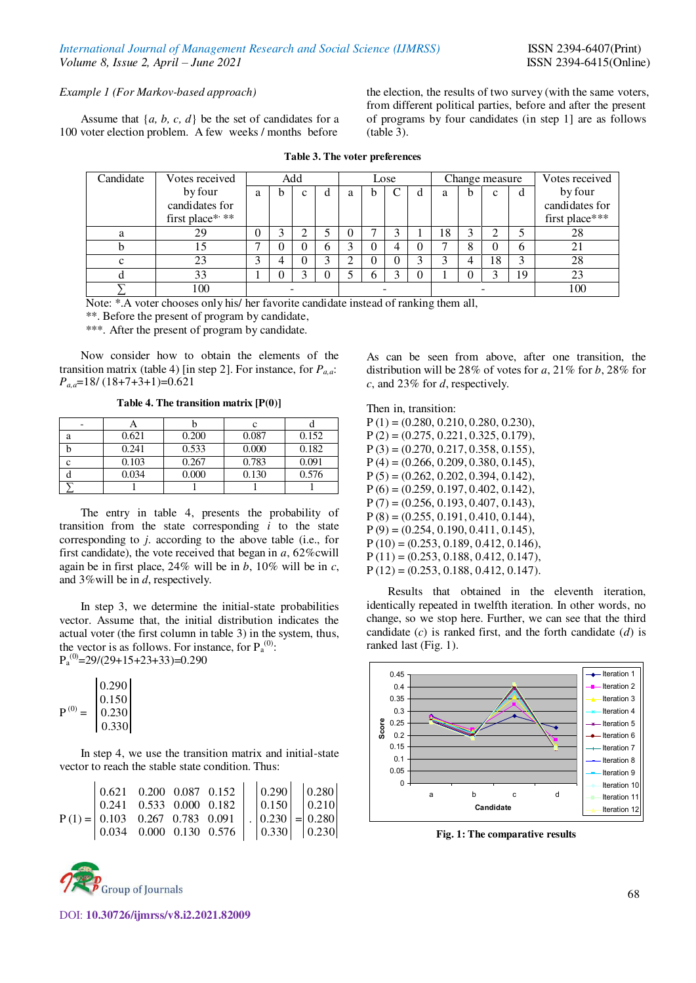*Example 1 (For Markov-based approach)* 

Assume that  $\{a, b, c, d\}$  be the set of candidates for a 100 voter election problem. A few weeks / months before

the election, the results of two survey (with the same voters, from different political parties, before and after the present of programs by four candidates (in step 1] are as follows (table 3).

| Candidate | Votes received  | Add |              |   |   |   | Lose |   |    | Change measure |    |    | Votes received |
|-----------|-----------------|-----|--------------|---|---|---|------|---|----|----------------|----|----|----------------|
|           | by four         | h   | $\mathbf{C}$ | đ | a | b |      |   | a  | h              | c  | đ  | by four        |
|           | candidates for  |     |              |   |   |   |      |   |    |                |    |    | candidates for |
|           | first place* ** |     |              |   |   |   |      |   |    |                |    |    | first place*** |
| a         | 29              |     |              |   |   |   |      |   | 18 | 3              | ◠  |    | 28             |
|           |                 |     | O            | 6 |   |   | 4    | 0 |    | 8              | 0  | h  | 21             |
| c         | 23              |     | 0            |   |   |   |      |   |    | 4              | 18 | 2  | 28             |
|           | 33              |     |              |   |   | h |      |   |    | 0              | 2  | 19 | 23             |
|           | 100             |     |              |   |   |   |      |   |    |                |    |    | 100            |

**Table 3. The voter preferences** 

Note: \*.A voter chooses only his/ her favorite candidate instead of ranking them all,

\*\*. Before the present of program by candidate,

\*\*\*. After the present of program by candidate.

Now consider how to obtain the elements of the transition matrix (table 4) [in step 2]. For instance, for *Pa,a*: *Pa,a*=18/ (18+7+3+1)=0.621

**Table 4. The transition matrix [P(0)]** 

|   |       |       | с     |       |
|---|-------|-------|-------|-------|
| a | 0.621 | 0.200 | 0.087 | 0.152 |
|   | 0.241 | 0.533 | 0.000 | 0.182 |
| ◠ | 0.103 | 0.267 | 0.783 | 0.091 |
|   | 0.034 | 0.000 | 0.130 | 0.576 |
|   |       |       |       |       |

The entry in table 4, presents the probability of transition from the state corresponding *i* to the state corresponding to *j*. according to the above table (i.e., for first candidate), the vote received that began in *a*, 62%cwill again be in first place, 24% will be in *b*, 10% will be in *c*, and 3%will be in *d*, respectively.

In step 3, we determine the initial-state probabilities vector. Assume that, the initial distribution indicates the actual voter (the first column in table 3) in the system, thus, the vector is as follows. For instance, for  $P_a^{(0)}$ :  $P_a^{(0)} = 29/(29+15+23+33) = 0.290$ 

|              | 0.290                                          |  |
|--------------|------------------------------------------------|--|
|              | $\begin{bmatrix} 0.150 \\ 0.230 \end{bmatrix}$ |  |
| $\mathbf{p}$ |                                                |  |
|              | 0.330                                          |  |

In step 4, we use the transition matrix and initial-state vector to reach the stable state condition. Thus:

|  |  | $\begin{bmatrix} 0.621 & 0.200 & 0.087 & 0.152 \end{bmatrix}$ $\begin{bmatrix} 0.290 & 0.280 \end{bmatrix}$                                                                                           |  |  |
|--|--|-------------------------------------------------------------------------------------------------------------------------------------------------------------------------------------------------------|--|--|
|  |  | $\begin{bmatrix} 0.241 & 0.533 & 0.000 & 0.182 \end{bmatrix}$ $\begin{bmatrix} 0.150 & 0.210 \end{bmatrix}$                                                                                           |  |  |
|  |  | $P(1) = \begin{vmatrix} 0.103 & 0.267 & 0.783 & 0.091 \\ 0.034 & 0.000 & 0.130 & 0.576 \end{vmatrix}$ . $\begin{vmatrix} 0.230 \\ 0.330 \end{vmatrix} = \begin{vmatrix} 0.280 \\ 0.230 \end{vmatrix}$ |  |  |
|  |  |                                                                                                                                                                                                       |  |  |



DOI: **10.30726/ijmrss/v8.i2.2021.82009**

As can be seen from above, after one transition, the distribution will be 28% of votes for *a*, 21% for *b*, 28% for *c*, and 23% for *d*, respectively.

#### Then in, transition:

 $P(1) = (0.280, 0.210, 0.280, 0.230),$  $P(2) = (0.275, 0.221, 0.325, 0.179),$  $P(3) = (0.270, 0.217, 0.358, 0.155),$  $P(4) = (0.266, 0.209, 0.380, 0.145),$ P (5) = (0.262, 0.202, 0.394, 0.142),  $P(6) = (0.259, 0.197, 0.402, 0.142),$  $P(7) = (0.256, 0.193, 0.407, 0.143),$  $P(8) = (0.255, 0.191, 0.410, 0.144),$  $P(9) = (0.254, 0.190, 0.411, 0.145),$  $P(10) = (0.253, 0.189, 0.412, 0.146),$  $P(11) = (0.253, 0.188, 0.412, 0.147),$  $P(12) = (0.253, 0.188, 0.412, 0.147).$ 

Results that obtained in the eleventh iteration, identically repeated in twelfth iteration. In other words, no change, so we stop here. Further, we can see that the third candidate (*c*) is ranked first, and the forth candidate (*d*) is ranked last (Fig. 1).



**Fig. 1: The comparative results**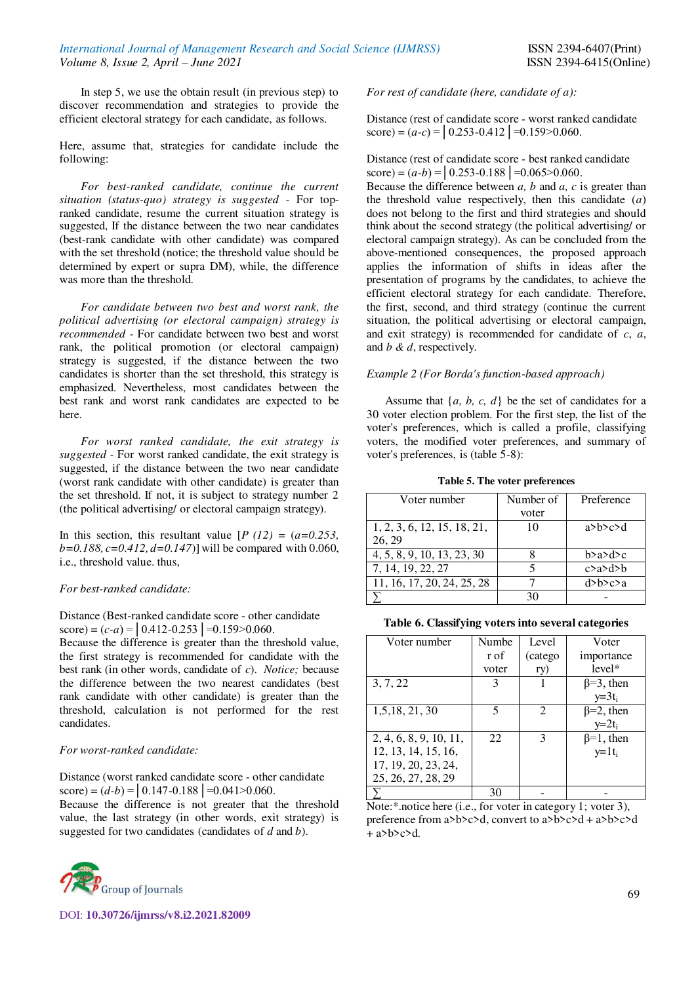In step 5, we use the obtain result (in previous step) to discover recommendation and strategies to provide the efficient electoral strategy for each candidate, as follows.

Here, assume that, strategies for candidate include the following:

*For best-ranked candidate, continue the current situation (status-quo) strategy is suggested -* For topranked candidate, resume the current situation strategy is suggested, If the distance between the two near candidates (best-rank candidate with other candidate) was compared with the set threshold (notice; the threshold value should be determined by expert or supra DM), while, the difference was more than the threshold.

*For candidate between two best and worst rank, the political advertising (or electoral campaign) strategy is recommended -* For candidate between two best and worst rank, the political promotion (or electoral campaign) strategy is suggested, if the distance between the two candidates is shorter than the set threshold, this strategy is emphasized. Nevertheless, most candidates between the best rank and worst rank candidates are expected to be here.

*For worst ranked candidate, the exit strategy is suggested -* For worst ranked candidate, the exit strategy is suggested, if the distance between the two near candidate (worst rank candidate with other candidate) is greater than the set threshold. If not, it is subject to strategy number 2 (the political advertising/ or electoral campaign strategy).

In this section, this resultant value  $[P (12) = (a=0.253,$ *b=0.188, c=0.412, d=0.147*)] will be compared with 0.060, i.e., threshold value. thus,

## *For best-ranked candidate:*

Distance (Best-ranked candidate score - other candidate score) =  $(c-a)$  =  $\vert 0.412 - 0.253 \vert = 0.159 > 0.060$ .

Because the difference is greater than the threshold value, the first strategy is recommended for candidate with the best rank (in other words, candidate of *c*). *Notice;* because the difference between the two nearest candidates (best rank candidate with other candidate) is greater than the threshold, calculation is not performed for the rest candidates.

## *For worst-ranked candidate:*

Distance (worst ranked candidate score - other candidate score) =  $(d-b)$  =  $\vert$  0.147-0.188  $\vert$  = 0.041 > 0.060.

Because the difference is not greater that the threshold value, the last strategy (in other words, exit strategy) is suggested for two candidates (candidates of *d* and *b*).



*For rest of candidate (here, candidate of a):*

Distance (rest of candidate score - worst ranked candidate score) =  $(a-c)$  =  $\vert 0.253 - 0.412 \vert = 0.159 > 0.060$ .

## Distance (rest of candidate score - best ranked candidate score) =  $(a-b)$  =  $\vert 0.253 - 0.188 \vert = 0.065 > 0.060$ .

Because the difference between *a, b* and *a, c* is greater than the threshold value respectively, then this candidate (*a*) does not belong to the first and third strategies and should think about the second strategy (the political advertising/ or electoral campaign strategy). As can be concluded from the above-mentioned consequences, the proposed approach applies the information of shifts in ideas after the presentation of programs by the candidates, to achieve the efficient electoral strategy for each candidate. Therefore, the first, second, and third strategy (continue the current situation, the political advertising or electoral campaign, and exit strategy) is recommended for candidate of *c*, *a*, and *b & d*, respectively.

#### *Example 2 (For Borda's function-based approach)*

Assume that  $\{a, b, c, d\}$  be the set of candidates for a 30 voter election problem. For the first step, the list of the voter's preferences, which is called a profile, classifying voters, the modified voter preferences, and summary of voter's preferences, is (table 5-8):

**Table 5. The voter preferences** 

| Voter number                | Number of | Preference    |
|-----------------------------|-----------|---------------|
|                             | voter     |               |
| 1, 2, 3, 6, 12, 15, 18, 21, | 10        | a>h> c> d     |
| 26, 29                      |           |               |
| 4, 5, 8, 9, 10, 13, 23, 30  |           | b > a > d > c |
| 7, 14, 19, 22, 27           |           | c > a > d > b |
| 11, 16, 17, 20, 24, 25, 28  |           | d>b>c>a       |
|                             | 30        |               |

**Table 6. Classifying voters into several categories** 

| Voter number           | Numbe | Level   | Voter                       |
|------------------------|-------|---------|-----------------------------|
|                        | r of  | (catego | importance                  |
|                        | voter | ry)     | $level*$                    |
| 3, 7, 22               | 3     |         | $\beta = 3$ , then          |
|                        |       |         | $y=3t_i$                    |
| 1,5,18, 21, 30         |       |         | $\overline{\beta=2}$ , then |
|                        |       |         | $y=2t_i$                    |
| 2, 4, 6, 8, 9, 10, 11, | 22    | 3       | $\beta=1$ , then            |
| 12, 13, 14, 15, 16,    |       |         | $y=1t_i$                    |
| 17, 19, 20, 23, 24,    |       |         |                             |
| 25, 26, 27, 28, 29     |       |         |                             |
|                        | 30    |         |                             |

Note:\*.notice here (i.e., for voter in category 1; voter 3), preference from a>b>c>d, convert to a>b>c>d + a>b>c>d  $+$  a>b>c>d.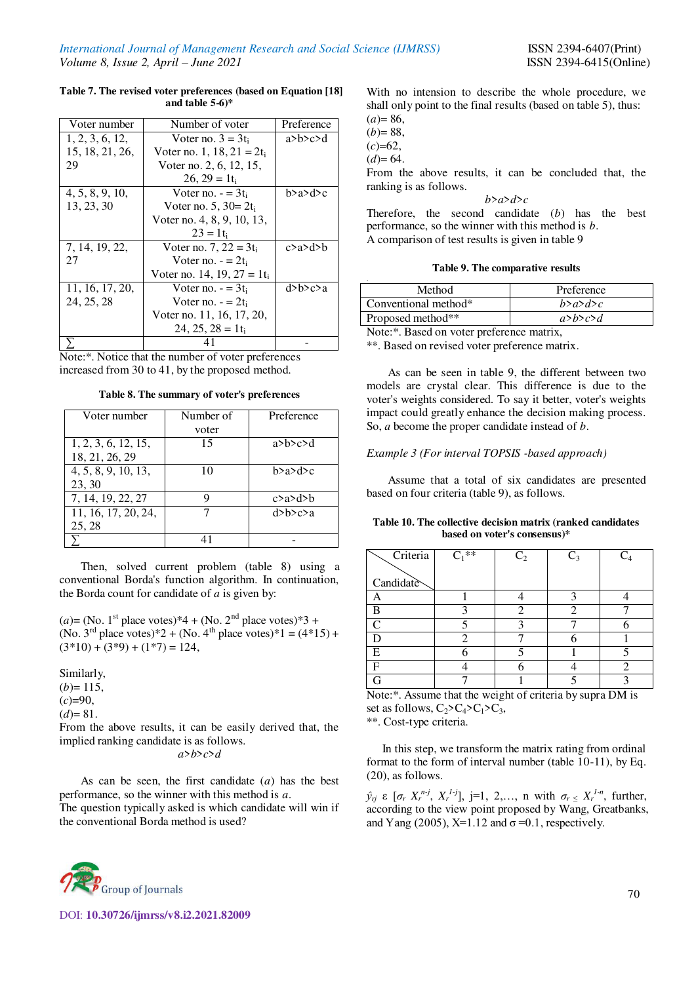#### **Table 7. The revised voter preferences (based on Equation [18] and table 5-6)\***

| Voter number    | Number of voter                 | Preference    |
|-----------------|---------------------------------|---------------|
| 1, 2, 3, 6, 12, | Voter no. $3 = 3t_i$            | $a$ >b>c>d    |
| 15, 18, 21, 26, | Voter no. 1, $18, 21 = 2t_i$    |               |
| 29              | Voter no. 2, 6, 12, 15,         |               |
|                 | $26, 29 = 1$ t <sub>i</sub>     |               |
| 4, 5, 8, 9, 10, | Voter no. $=$ 3t <sub>i</sub>   | b>a>d>c       |
| 13, 23, 30      | Voter no. 5, $30 = 2t_i$        |               |
|                 | Voter no. 4, 8, 9, 10, 13,      |               |
|                 | $23 = 1$ ti                     |               |
| 7, 14, 19, 22,  | Voter no. 7, $22 = 3t_i$        | c > a > d > b |
| 27              | Voter no. $= 2t_i$              |               |
|                 | Voter no. 14, 19, 27 = 1 $t_i$  |               |
| 11, 16, 17, 20, | Voter no. $=$ 3t.               | d>b>c>a       |
| 24, 25, 28      | Voter no. $- = 2t_i$            |               |
|                 | Voter no. 11, 16, 17, 20,       |               |
|                 | $24, 25, 28 = 1$ t <sub>i</sub> |               |
|                 |                                 |               |

Note:\*. Notice that the number of voter preferences increased from 30 to 41, by the proposed method.

**Table 8. The summary of voter's preferences** 

| Voter number        | Number of<br>voter | Preference    |
|---------------------|--------------------|---------------|
|                     |                    |               |
| 1, 2, 3, 6, 12, 15, | 15                 | $a$ >b>c>d    |
| 18, 21, 26, 29      |                    |               |
| 4, 5, 8, 9, 10, 13, | 10                 | b > a > d > c |
| 23, 30              |                    |               |
| 7, 14, 19, 22, 27   |                    | c > a > d > b |
| 11, 16, 17, 20, 24, |                    | d>h> c> a     |
| 25, 28              |                    |               |
|                     |                    |               |

Then, solved current problem (table 8) using a conventional Borda's function algorithm. In continuation, the Borda count for candidate of *a* is given by:

 $(a) = (No. 1<sup>st</sup> place votes)*4 + (No. 2<sup>nd</sup> place votes)*3 +$ (No. 3<sup>rd</sup> place votes)\*2 + (No. 4<sup>th</sup> place votes)\*1 = (4\*15) +  $(3*10) + (3*9) + (1*7) = 124$ ,

#### Similarly,

 $(b)=115$ ,  $(c)=90$ ,  $(d)=81.$ 

From the above results, it can be easily derived that, the implied ranking candidate is as follows.

*a*>*b*>*c*>*d*

As can be seen, the first candidate (*a*) has the best performance, so the winner with this method is *a*. The question typically asked is which candidate will win if the conventional Borda method is used?



With no intension to describe the whole procedure, we shall only point to the final results (based on table 5), thus:

 $(a)= 86,$  $(b)= 88,$ 

 $(c)=62,$ 

 $(d)= 64.$ 

From the above results, it can be concluded that, the ranking is as follows.

#### *b*>*a*>*d*>*c*

Therefore, the second candidate (*b*) has the best performance, so the winner with this method is *b*. A comparison of test results is given in table 9

#### **Table 9. The comparative results**

| Method               | Preference         |
|----------------------|--------------------|
| Conventional method* | b > a > d > c      |
| Proposed method**    | $a>$ b $\geq c>$ d |
| $\mathbf{r}$         |                    |

Note:\*. Based on voter preference matrix,

\*\*. Based on revised voter preference matrix.

As can be seen in table 9, the different between two models are crystal clear. This difference is due to the voter's weights considered. To say it better, voter's weights impact could greatly enhance the decision making process. So, *a* become the proper candidate instead of *b*.

## *Example 3 (For interval TOPSIS -based approach)*

Assume that a total of six candidates are presented based on four criteria (table 9), as follows.

#### **Table 10. The collective decision matrix (ranked candidates based on voter's consensus)\***

| Criteria  | $C_1$ ** | C <sub>2</sub> | $C_3$ |  |
|-----------|----------|----------------|-------|--|
| Candidate |          |                |       |  |
|           |          |                |       |  |
| А         |          |                |       |  |
| B         |          |                | า     |  |
| $\subset$ |          |                |       |  |
|           |          |                |       |  |
| E         |          |                |       |  |
|           |          |                |       |  |
|           |          |                |       |  |

Note:\*. Assume that the weight of criteria by supra DM is set as follows,  $C_2 > C_4 > C_1 > C_3$ , \*\*. Cost-type criteria.

In this step, we transform the matrix rating from ordinal format to the form of interval number (table 10-11), by Eq. (20), as follows.

 $\hat{y}_{rj}$  ε  $[\sigma_r X_r^{n-j}, X_r^{1-j}], j=1, 2,..., n$  with  $\sigma_r \leq X_r^{1-n}$ , further, according to the view point proposed by Wang, Greatbanks, and Yang (2005), X=1.12 and  $\sigma$  =0.1, respectively.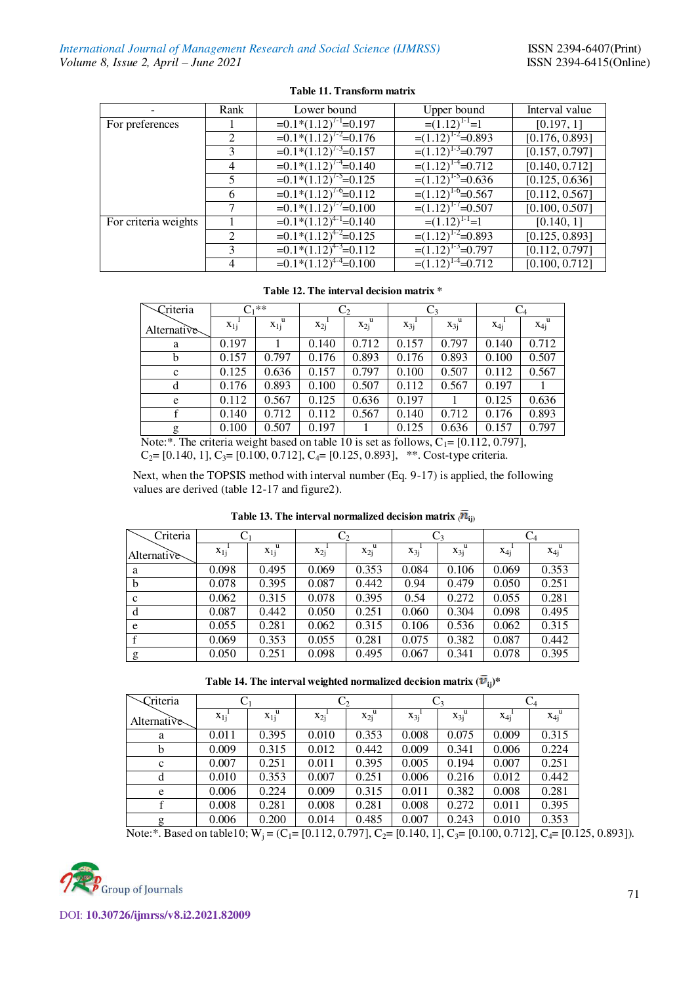|                      | Rank          | Lower bound                          | Upper bound             | Interval value |
|----------------------|---------------|--------------------------------------|-------------------------|----------------|
| For preferences      |               | $=0.1*(1.12)^{7-1}=0.197$            | $=(1.12)^{1-1}$ =1      | [0.197, 1]     |
|                      | 2             | $=0.1*(1.12)^{7-2}=0.176$            | $=(1.12)^{1.2} = 0.893$ | [0.176, 0.893] |
|                      |               | $=0.1*(1.12)^{7-3}=0.157$            | $=(1.12)^{1.3}$ =0.797  | [0.157, 0.797] |
|                      | 4             | $=0.1*(1.12)^{7-4}=0.140$            | $=(1.12)^{1.4}$ =0.712  | [0.140, 0.712] |
|                      | 5.            | $=0.1\sqrt[3]{(1.12)^{7.5}}=0.125$   | $=(1.12)^{1.5} = 0.636$ | [0.125, 0.636] |
|                      | 6             | $=0.\overline{1*(1.12)^{7.6}}=0.112$ | $=(1.12)^{1.6}$ =0.567  | [0.112, 0.567] |
|                      |               | $=0.1*(1.12)^{7-7}=0.100$            | $=(1.12)^{1.7} = 0.507$ | [0.100, 0.507] |
| For criteria weights |               | $=0.1\sqrt[3]{(1.12)^{4-1}}=0.140$   | $=(1.12)^{1-1}=1$       | [0.140, 1]     |
|                      | $\mathcal{L}$ | $=0.1*(1.12)^{4-2}=0.125$            | $=(1.12)^{1.2} = 0.893$ | [0.125, 0.893] |
|                      | 3             | $=0.1*(1.12)^{4.3}=0.112$            | $=(1.12)^{1.3} = 0.797$ | [0.112, 0.797] |
|                      | 4             | $=0.1*(1.12)^{4-4}=0.100$            | $=(1.12)^{1.4}$ =0.712  | [0.100, 0.712] |

# **Table 11. Transform matrix**

# **Table 12. The interval decision matrix \***

| Criteria    | ∩.**     |               | $\mathrm{C}_2$ |                          | $C_3$    |                        | $\rm{C_4}$ |                        |
|-------------|----------|---------------|----------------|--------------------------|----------|------------------------|------------|------------------------|
| Alternative | $x_{1j}$ | u<br>$x_{1j}$ | $x_{2j}$       | $x_{2j}^{\phantom{2i}u}$ | $x_{3j}$ | $x_{3j}^{\phantom{3}}$ | $X_{4j}$   | $x_{4j}^{\phantom{1}}$ |
| a           | 0.197    |               | 0.140          | 0.712                    | 0.157    | 0.797                  | 0.140      | 0.712                  |
| b           | 0.157    | 0.797         | 0.176          | 0.893                    | 0.176    | 0.893                  | 0.100      | 0.507                  |
| $\mathbf c$ | 0.125    | 0.636         | 0.157          | 0.797                    | 0.100    | 0.507                  | 0.112      | 0.567                  |
| d           | 0.176    | 0.893         | 0.100          | 0.507                    | 0.112    | 0.567                  | 0.197      |                        |
| e           | 0.112    | 0.567         | 0.125          | 0.636                    | 0.197    |                        | 0.125      | 0.636                  |
|             | 0.140    | 0.712         | 0.112          | 0.567                    | 0.140    | 0.712                  | 0.176      | 0.893                  |
| g           | 0.100    | 0.507         | 0.197          |                          | 0.125    | 0.636                  | 0.157      | 0.797                  |

Note:\*. The criteria weight based on table 10 is set as follows,  $C_1 = [0.112, 0.797]$ ,  $C_2$ = [0.140, 1],  $C_3$ = [0.100, 0.712],  $C_4$ = [0.125, 0.893], \*\*. Cost-type criteria.

 Next, when the TOPSIS method with interval number (Eq. 9-17) is applied, the following values are derived (table 12-17 and figure2).

| Criteria    |          |                               | C <sub>2</sub> |                               | $C_3$    |                               | $C_4$    |       |
|-------------|----------|-------------------------------|----------------|-------------------------------|----------|-------------------------------|----------|-------|
| Alternative | $X_{1j}$ | $\overline{x_1}^{\mathrm{u}}$ | $x_{2i}$       | $\overline{x_2}^{\mathrm{u}}$ | $X_{3i}$ | $\overline{x_3}^{\mathrm{u}}$ | $X_{4i}$ | $X_4$ |
| a           | 0.098    | 0.495                         | 0.069          | 0.353                         | 0.084    | 0.106                         | 0.069    | 0.353 |
| b           | 0.078    | 0.395                         | 0.087          | 0.442                         | 0.94     | 0.479                         | 0.050    | 0.251 |
| $\mathbf c$ | 0.062    | 0.315                         | 0.078          | 0.395                         | 0.54     | 0.272                         | 0.055    | 0.281 |
| d           | 0.087    | 0.442                         | 0.050          | 0.251                         | 0.060    | 0.304                         | 0.098    | 0.495 |
| e           | 0.055    | 0.281                         | 0.062          | 0.315                         | 0.106    | 0.536                         | 0.062    | 0.315 |
|             | 0.069    | 0.353                         | 0.055          | 0.281                         | 0.075    | 0.382                         | 0.087    | 0.442 |
| g           | 0.050    | 0.251                         | 0.098          | 0.495                         | 0.067    | 0.341                         | 0.078    | 0.395 |

Table 13. The interval normalized decision matrix  $\langle \overline{n}_{ij} \rangle$ 

| Criteria     |          |                                  | $\mathrm{C}_2$ |                                     | $\mathrm{C}_3$ |       | $C_4$    |       |
|--------------|----------|----------------------------------|----------------|-------------------------------------|----------------|-------|----------|-------|
| Alternative  | $X_{1j}$ | $\overline{x}_{1j}^{\mathrm{u}}$ | $x_{2j}$       | $\overline{x}_{2j}^{\phantom{2i}u}$ | $X_{3i}$       | $X_3$ | $X_{4i}$ | $X_4$ |
| a            | 0.011    | 0.395                            | 0.010          | 0.353                               | 0.008          | 0.075 | 0.009    | 0.315 |
| b            | 0.009    | 0.315                            | 0.012          | 0.442                               | 0.009          | 0.341 | 0.006    | 0.224 |
| $\mathbf{c}$ | 0.007    | 0.251                            | 0.011          | 0.395                               | 0.005          | 0.194 | 0.007    | 0.251 |
| d            | 0.010    | 0.353                            | 0.007          | 0.251                               | 0.006          | 0.216 | 0.012    | 0.442 |
| e            | 0.006    | 0.224                            | 0.009          | 0.315                               | 0.011          | 0.382 | 0.008    | 0.281 |
|              | 0.008    | 0.281                            | 0.008          | 0.281                               | 0.008          | 0.272 | 0.011    | 0.395 |
| g            | 0.006    | 0.200                            | 0.014          | 0.485                               | 0.007          | 0.243 | 0.010    | 0.353 |

Note:\*. Based on table10;  $W_j = (C_1 = [0.112, 0.797], C_2 = [0.140, 1], C_3 = [0.100, 0.712], C_4 = [0.125, 0.893]).$ 

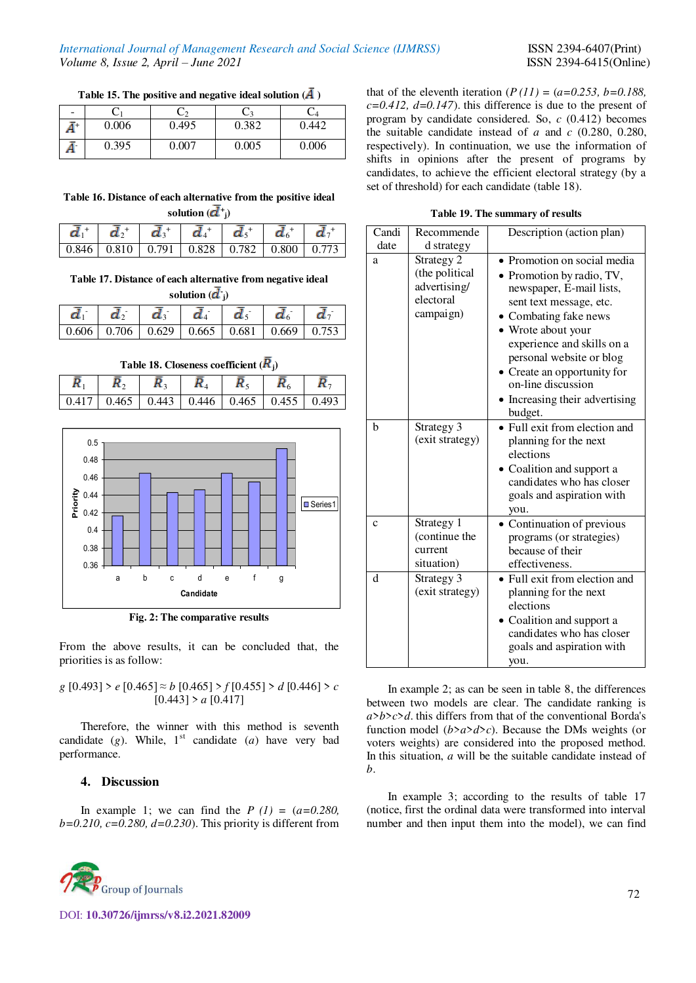Table 15. The positive and negative ideal solution  $(\bar{A})$ 

| $\qquad \qquad \blacksquare$ |       |       |       | ے ک   |
|------------------------------|-------|-------|-------|-------|
| Ā+                           | 0.006 | 0.495 | 0.382 | 0.442 |
|                              | 0.395 | 0.007 | 0.005 | 0.006 |

| that of the eleventh iteration $(P(11) = (a=0.253, b=0.188,$      |
|-------------------------------------------------------------------|
| $c=0.412$ , $d=0.147$ ). this difference is due to the present of |
| program by candidate considered. So, $c(0.412)$ becomes           |
| the suitable candidate instead of $a$ and $c$ (0.280, 0.280,      |
| respectively). In continuation, we use the information of         |
| shifts in opinions after the present of programs by               |
| candidates, to achieve the efficient electoral strategy (by a     |
| set of threshold) for each candidate (table 18).                  |
|                                                                   |

**Table 19. The summary of results** 

| Candi       | Recommende                                                             | Description (action plan)                                                                                                                                                                                                                                                                                                  |
|-------------|------------------------------------------------------------------------|----------------------------------------------------------------------------------------------------------------------------------------------------------------------------------------------------------------------------------------------------------------------------------------------------------------------------|
| date        | d strategy                                                             |                                                                                                                                                                                                                                                                                                                            |
| a           | Strategy 2<br>(the political<br>advertising/<br>electoral<br>campaign) | • Promotion on social media<br>• Promotion by radio, TV,<br>newspaper, E-mail lists,<br>sent text message, etc.<br>• Combating fake news<br>• Wrote about your<br>experience and skills on a<br>personal website or blog<br>• Create an opportunity for<br>on-line discussion<br>• Increasing their advertising<br>budget. |
| h           | Strategy 3<br>(exit strategy)                                          | • Full exit from election and<br>planning for the next<br>elections<br>• Coalition and support a<br>candidates who has closer<br>goals and aspiration with<br>you.                                                                                                                                                         |
| $\mathbf c$ | Strategy 1<br>(continue the<br>current<br>situation)                   | • Continuation of previous<br>programs (or strategies)<br>because of their<br>effectiveness.                                                                                                                                                                                                                               |
| d           | Strategy 3<br>(exit strategy)                                          | • Full exit from election and<br>planning for the next<br>elections<br>Coalition and support a<br>candidates who has closer<br>goals and aspiration with<br>you.                                                                                                                                                           |

In example 2; as can be seen in table 8, the differences between two models are clear. The candidate ranking is *a*>*b*>*c*>*d*. this differs from that of the conventional Borda's function model  $(b>a>d>c)$ . Because the DMs weights (or voters weights) are considered into the proposed method. In this situation, *a* will be the suitable candidate instead of *b*.

In example 3; according to the results of table 17 (notice, first the ordinal data were transformed into interval number and then input them into the model), we can find

| Table 16. Distance of each alternative from the positive ideal |  |  |
|----------------------------------------------------------------|--|--|
| solution $(\mathbf{d}^+)_1$                                    |  |  |

| $v \cdot w \cdot v \cdot v \cdot v$ |  |  |                                                                                                                           |  |  |  |  |
|-------------------------------------|--|--|---------------------------------------------------------------------------------------------------------------------------|--|--|--|--|
|                                     |  |  | $\bar{d}_1^+ \, \, \bar{d}_2^+ \, \, \bar{d}_3^+ \, \, \bar{d}_4^+ \, \, \bar{d}_5^+ \, \, \bar{d}_6^+ \, \, \bar{d}_7^+$ |  |  |  |  |
|                                     |  |  |                                                                                                                           |  |  |  |  |

**Table 17. Distance of each alternative from negative ideal** 

| solution $(\mathbf{d}^{\prime})$ |  |    |                                                         |  |  |  |  |
|----------------------------------|--|----|---------------------------------------------------------|--|--|--|--|
| $d_{-}$                          |  | d. |                                                         |  |  |  |  |
|                                  |  |    | $0.606$   0.706   0.629   0.665   0.681   0.669   0.753 |  |  |  |  |

| Table 18. Closeness coefficient $(K_i)$ |                                                       |  |  |  |  |  |  |  |
|-----------------------------------------|-------------------------------------------------------|--|--|--|--|--|--|--|
|                                         |                                                       |  |  |  |  |  |  |  |
|                                         | 0.417   0.465   0.443   0.446   0.465   0.455   0.493 |  |  |  |  |  |  |  |



**Fig. 2: The comparative results** 

From the above results, it can be concluded that, the priorities is as follow:

*g* [0.493] > *e* [0.465] ≈ *b* [0.465] > *f* [0.455] > *d* [0.446] > *c*  $[0.443]$  >  $a$   $[0.417]$ 

Therefore, the winner with this method is seventh candidate  $(g)$ . While, 1<sup>st</sup> candidate  $(a)$  have very bad performance.

## **4. Discussion**

In example 1; we can find the  $P(1) = (a=0.280,$ *b=0.210, c=0.280, d=0.230*). This priority is different from

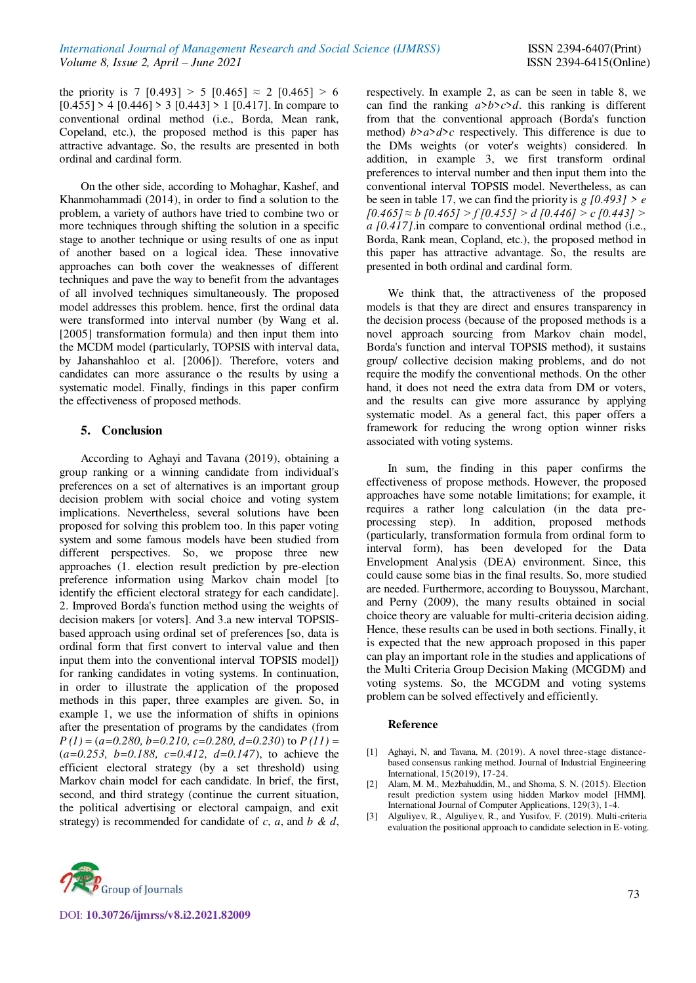the priority is 7 [0.493] > 5 [0.465]  $\approx$  2 [0.465] > 6  $[0.455]$  > 4  $[0.446]$  > 3  $[0.443]$  > 1  $[0.417]$ . In compare to conventional ordinal method (i.e., Borda, Mean rank, Copeland, etc.), the proposed method is this paper has attractive advantage. So, the results are presented in both ordinal and cardinal form.

On the other side, according to Mohaghar, Kashef, and Khanmohammadi (2014), in order to find a solution to the problem, a variety of authors have tried to combine two or more techniques through shifting the solution in a specific stage to another technique or using results of one as input of another based on a logical idea. These innovative approaches can both cover the weaknesses of different techniques and pave the way to benefit from the advantages of all involved techniques simultaneously. The proposed model addresses this problem. hence, first the ordinal data were transformed into interval number (by Wang et al. [2005] transformation formula) and then input them into the MCDM model (particularly, TOPSIS with interval data, by Jahanshahloo et al. [2006]). Therefore, voters and candidates can more assurance o the results by using a systematic model. Finally, findings in this paper confirm the effectiveness of proposed methods.

## **5. Conclusion**

According to Aghayi and Tavana (2019), obtaining a group ranking or a winning candidate from individual's preferences on a set of alternatives is an important group decision problem with social choice and voting system implications. Nevertheless, several solutions have been proposed for solving this problem too. In this paper voting system and some famous models have been studied from different perspectives. So, we propose three new approaches (1. election result prediction by pre-election preference information using Markov chain model [to identify the efficient electoral strategy for each candidate]. 2. Improved Borda's function method using the weights of decision makers [or voters]. And 3.a new interval TOPSISbased approach using ordinal set of preferences [so, data is ordinal form that first convert to interval value and then input them into the conventional interval TOPSIS model]) for ranking candidates in voting systems. In continuation, in order to illustrate the application of the proposed methods in this paper, three examples are given. So, in example 1, we use the information of shifts in opinions after the presentation of programs by the candidates (from *P (1)* = (*a=0.280, b=0.210, c=0.280, d=0.230*) to *P (11)* = (*a=0.253, b=0.188, c=0.412, d=0.147*), to achieve the efficient electoral strategy (by a set threshold) using Markov chain model for each candidate. In brief, the first, second, and third strategy (continue the current situation, the political advertising or electoral campaign, and exit strategy) is recommended for candidate of *c*, *a*, and *b & d*,

respectively. In example 2, as can be seen in table 8, we can find the ranking *a*>*b*>*c*>*d*. this ranking is different from that the conventional approach (Borda's function method)  $b > a > d > c$  respectively. This difference is due to the DMs weights (or voter's weights) considered. In addition, in example 3, we first transform ordinal preferences to interval number and then input them into the conventional interval TOPSIS model. Nevertheless, as can be seen in table 17, we can find the priority is  $g$  [0.493]  $> e$ *[0.465] ≈ b [0.465] > f [0.455] > d [0.446] > c [0.443] > a [0.417]*.in compare to conventional ordinal method (i.e., Borda, Rank mean, Copland, etc.), the proposed method in this paper has attractive advantage. So, the results are presented in both ordinal and cardinal form.

We think that, the attractiveness of the proposed models is that they are direct and ensures transparency in the decision process (because of the proposed methods is a novel approach sourcing from Markov chain model, Borda's function and interval TOPSIS method), it sustains group/ collective decision making problems, and do not require the modify the conventional methods. On the other hand, it does not need the extra data from DM or voters, and the results can give more assurance by applying systematic model. As a general fact, this paper offers a framework for reducing the wrong option winner risks associated with voting systems.

In sum, the finding in this paper confirms the effectiveness of propose methods. However, the proposed approaches have some notable limitations; for example, it requires a rather long calculation (in the data preprocessing step). In addition, proposed methods (particularly, transformation formula from ordinal form to interval form), has been developed for the Data Envelopment Analysis (DEA) environment. Since, this could cause some bias in the final results. So, more studied are needed. Furthermore, according to Bouyssou, Marchant, and Perny (2009), the many results obtained in social choice theory are valuable for multi-criteria decision aiding. Hence, these results can be used in both sections. Finally, it is expected that the new approach proposed in this paper can play an important role in the studies and applications of the Multi Criteria Group Decision Making (MCGDM) and voting systems. So, the MCGDM and voting systems problem can be solved effectively and efficiently.

#### **Reference**

- [1] Aghayi, N, and Tavana, M. (2019). A novel three-stage distancebased consensus ranking method. Journal of Industrial Engineering International, 15(2019), 17-24.
- [2] Alam, M. M., Mezbahuddin, M., and Shoma, S. N. (2015). Election result prediction system using hidden Markov model [HMM]. International Journal of Computer Applications, 129(3), 1-4.
- [3] Alguliyev, R., Alguliyev, R., and Yusifov, F. (2019). Multi-criteria evaluation the positional approach to candidate selection in E-voting.

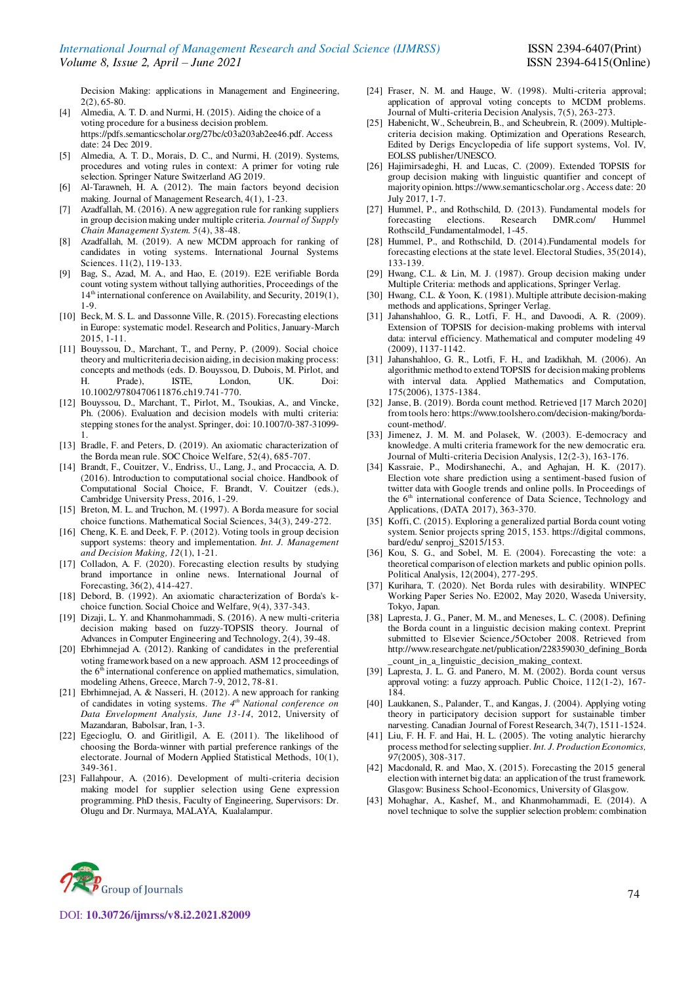Decision Making: applications in Management and Engineering, 2(2), 65-80.

- [4] Almedia, A. T. D. and Nurmi, H. (2015). Aiding the choice of a voting procedure for a business decision problem. https://pdfs.semanticscholar.org/27bc/c03a203ab2ee46.pdf. Access date: 24 Dec 2019.
- [5] Almedia, A. T. D., Morais, D. C., and Nurmi, H. (2019). Systems, procedures and voting rules in context: A primer for voting rule selection. Springer Nature Switzerland AG 2019.
- [6] Al-Tarawneh, H. A. (2012). The main factors beyond decision making. Journal of Management Research, 4(1), 1-23.
- [7] Azadfallah, M. (2016). A new aggregation rule for ranking suppliers in group decision making under multiple criteria. *Journal of Supply Chain Management System. 5*(4), 38-48.
- [8] Azadfallah, M. (2019). A new MCDM approach for ranking of candidates in voting systems. International Journal Systems Sciences. 11(2), 119-133.
- [9] Bag, S., Azad, M. A., and Hao, E. (2019). E2E verifiable Borda count voting system without tallying authorities, Proceedings of the 14<sup>th</sup> international conference on Availability, and Security, 2019(1), 1-9.
- [10] Beck, M. S. L. and Dassonne Ville, R. (2015). Forecasting elections in Europe: systematic model. Research and Politics, January-March 2015, 1-11.
- [11] Bouyssou, D., Marchant, T., and Perny, P. (2009). Social choice theory and multicriteria decision aiding, in decision making process: concepts and methods (eds. D. Bouyssou, D. Dubois, M. Pirlot, and H. Prade), ISTE, London, UK. Doi: 10.1002/9780470611876.ch19.741-770.
- [12] Bouyssou, D., Marchant, T., Pirlot, M., Tsoukias, A., and Vincke, Ph. (2006). Evaluation and decision models with multi criteria: stepping stones for the analyst. Springer, doi: 10.1007/0-387-31099- 1.
- [13] Bradle, F. and Peters, D. (2019). An axiomatic characterization of the Borda mean rule. SOC Choice Welfare, 52(4), 685-707.
- [14] Brandt, F., Couitzer, V., Endriss, U., Lang, J., and Procaccia, A. D. (2016). Introduction to computational social choice. Handbook of Computational Social Choice, F. Brandt, V. Couitzer (eds.), Cambridge University Press, 2016, 1-29.
- [15] Breton, M. L. and Truchon, M. (1997). A Borda measure for social choice functions. Mathematical Social Sciences, 34(3), 249-272.
- [16] Cheng, K. E. and Deek, F. P. (2012). Voting tools in group decision support systems: theory and implementation. *Int. J. Management and Decision Making, 12*(1), 1-21.
- [17] Colladon, A. F. (2020). Forecasting election results by studying brand importance in online news. International Journal of Forecasting, 36(2), 414-427.
- [18] Debord, B. (1992). An axiomatic characterization of Borda's kchoice function. Social Choice and Welfare, 9(4), 337-343.
- [19] Dizaji, L. Y. and Khanmohammadi, S. (2016). A new multi-criteria decision making based on fuzzy-TOPSIS theory. Journal of Advances in Computer Engineering and Technology, 2(4), 39-48.
- [20] Ebrhimnejad A. (2012). Ranking of candidates in the preferential voting framework based on a new approach. ASM 12 proceedings of the  $6<sup>th</sup>$  international conference on applied mathematics, simulation, modeling Athens, Greece, March 7-9, 2012, 78-81.
- [21] Ebrhimnejad, A. & Nasseri, H. (2012). A new approach for ranking of candidates in voting systems. *The 4th National conference on Data Envelopment Analysis, June 13-14*, 2012, University of Mazandaran, Babolsar, Iran, 1-3.
- [22] Egecioglu, O. and Giritligil, A. E. (2011). The likelihood of choosing the Borda-winner with partial preference rankings of the electorate. Journal of Modern Applied Statistical Methods, 10(1), 349-361.
- [23] Fallahpour, A. (2016). Development of multi-criteria decision making model for supplier selection using Gene expression programming. PhD thesis, Faculty of Engineering, Supervisors: Dr. Olugu and Dr. Nurmaya, MALAYA, Kualalampur.
- [24] Fraser, N. M. and Hauge, W. (1998). Multi-criteria approval; application of approval voting concepts to MCDM problems. Journal of Multi-criteria Decision Analysis, 7(5), 263-273.
- [25] Habenicht, W., Scheubrein, B., and Scheubrein, R. (2009). Multiplecriteria decision making. Optimization and Operations Research, Edited by Derigs Encyclopedia of life support systems, Vol. IV, EOLSS publisher/UNESCO.
- [26] Hajimirsadeghi, H. and Lucas, C. (2009). Extended TOPSIS for group decision making with linguistic quantifier and concept of majority opinion. https://www.semanticscholar.org <sup>&</sup>gt;Access date: 20 July 2017, 1-7.
- [27] Hummel, P., and Rothschild, D. (2013). Fundamental models for forecasting elections. Research DMR.com/ Hummel Rothscild\_Fundamentalmodel, 1-45.
- [28] Hummel, P., and Rothschild, D. (2014). Fundamental models for forecasting elections at the state level. Electoral Studies, 35(2014), 133-139.
- [29] Hwang, C.L. & Lin, M. J. (1987). Group decision making under Multiple Criteria: methods and applications, Springer Verlag.
- [30] Hwang, C.L. & Yoon, K. (1981). Multiple attribute decision-making methods and applications, Springer Verlag.
- [31] Jahanshahloo, G. R., Lotfi, F. H., and Davoodi, A. R. (2009). Extension of TOPSIS for decision-making problems with interval data: interval efficiency. Mathematical and computer modeling 49 (2009), 1137-1142.
- [31] Jahanshahloo, G. R., Lotfi, F. H., and Izadikhah, M. (2006). An algorithmic method to extend TOPSIS for decision making problems with interval data. Applied Mathematics and Computation, 175(2006), 1375-1384.
- [32] Janse, B. (2019). Borda count method. Retrieved [17 March 2020] from tools hero: https://www.toolshero.com/decision-making/bordacount-method/.
- [33] Jimenez, J. M. M. and Polasek, W. (2003). E-democracy and knowledge. A multi criteria framework for the new democratic era. Journal of Multi-criteria Decision Analysis, 12(2-3), 163-176.
- [34] Kassraie, P., Modirshanechi, A., and Aghajan, H. K. (2017). Election vote share prediction using a sentiment-based fusion of twitter data with Google trends and online polls. In Proceedings of the 6<sup>th</sup> international conference of Data Science, Technology and Applications, (DATA 2017), 363-370.
- [35] Koffi, C. (2015). Exploring a generalized partial Borda count voting system. Senior projects spring 2015, 153. https://digital commons, bard/edu/ senproj\_S2015/153.
- [36] Kou, S. G., and Sobel, M. E. (2004). Forecasting the vote: a theoretical comparison of election markets and public opinion polls. Political Analysis, 12(2004), 277-295.
- [37] Kurihara, T. (2020). Net Borda rules with desirability. WINPEC Working Paper Series No. E2002, May 2020, Waseda University, Tokyo, Japan.
- [38] Lapresta, J. G., Paner, M. M., and Meneses, L. C. (2008). Defining the Borda count in a linguistic decision making context. Preprint submitted to Elsevier Science,/5October 2008. Retrieved from http://www.researchgate.net/publication/228359030\_defining\_Borda \_count\_in\_a\_linguistic\_decision\_making\_context.
- [39] Lapresta, J. L. G. and Panero, M. M. (2002). Borda count versus approval voting: a fuzzy approach. Public Choice, 112(1-2), 167- 184.
- [40] Laukkanen, S., Palander, T., and Kangas, J. (2004). Applying voting theory in participatory decision support for sustainable timber narvesting. Canadian Journal of Forest Research, 34(7), 1511-1524.
- [41] Liu, F. H. F. and Hai, H. L. (2005). The voting analytic hierarchy process method for selecting supplier. *Int. J. Production Economics, 97*(2005), 308-317.
- [42] Macdonald, R. and Mao, X. (2015). Forecasting the 2015 general election with internet big data: an application of the trust framework. Glasgow: Business School-Economics, University of Glasgow.
- [43] Mohaghar, A., Kashef, M., and Khanmohammadi, E. (2014). A novel technique to solve the supplier selection problem: combination